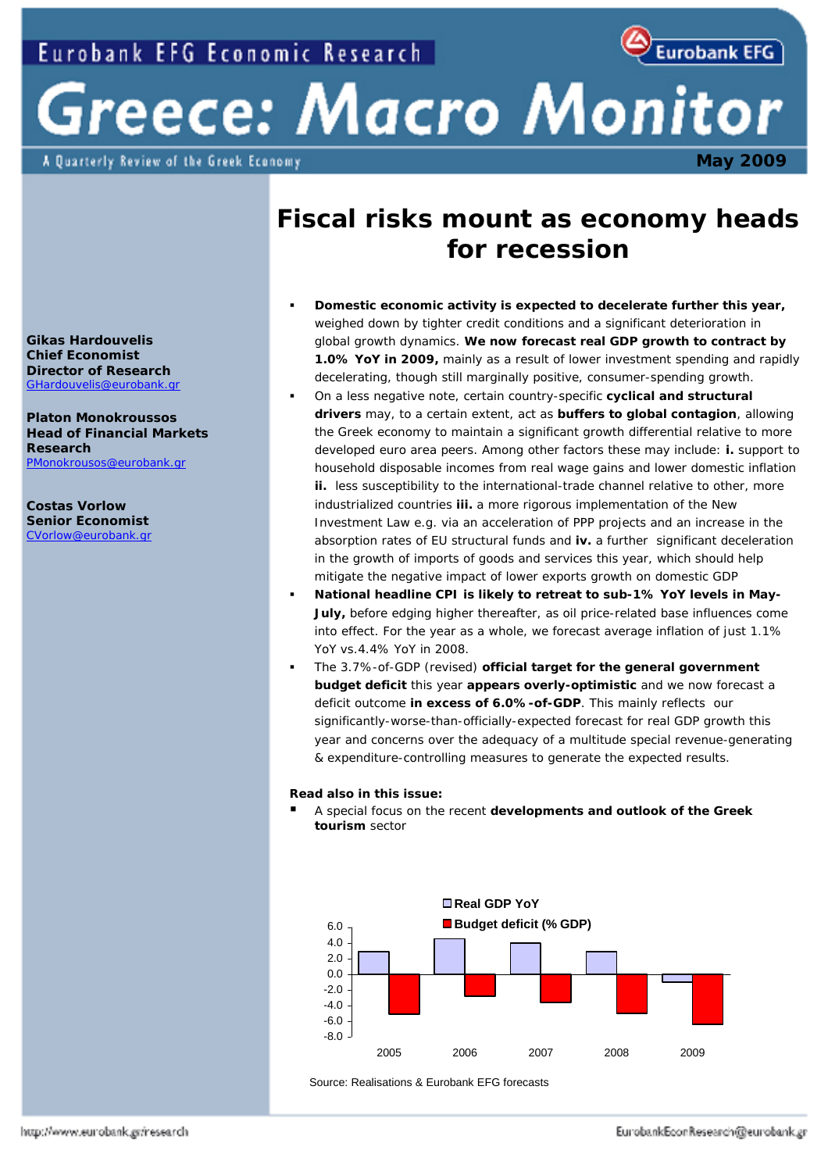

 **May 2009** 

# Greece: Macro Monitor

A Quarterly Review of the Greek Economy

# **Fiscal risks mount as economy heads for recession**

- **Domestic economic activity is expected to decelerate further this year,**  weighed down by tighter credit conditions and a significant deterioration in global growth dynamics. **We now forecast real GDP growth to contract by 1.0% YoY in 2009,** mainly as a result of lower investment spending and rapidly decelerating, *though still marginally positive*, consumer-spending growth.
- On a less negative note, certain country-specific **cyclical and structural drivers** may, to a certain extent, act as **buffers to global contagion**, allowing the Greek economy to maintain a significant growth differential relative to more developed euro area peers. Among other factors these may include: **i.** support to household disposable incomes from real wage gains and lower domestic inflation **ii.** less susceptibility to the international-trade channel relative to other, more industrialized countries **iii.** a more rigorous implementation of the New Investment Law e.g. via an acceleration of PPP projects and an increase in the absorption rates of EU structural funds and **iv.** a further significant deceleration in the growth of imports of goods and services this year, which should help mitigate the negative impact of lower exports growth on domestic GDP
- **National headline CPI is likely to retreat to sub-1% YoY levels in May-July,** before edging higher thereafter, as oil price-related base influences come into effect. For the year as a whole, we forecast average inflation of just 1.1% YoY vs.4.4% YoY in 2008.
- The 3.7%-of-GDP *(revised)* **official target for the general government budget deficit** this year **appears overly-optimistic** and we now forecast a deficit outcome **in excess of 6.0%-of-GDP**. This mainly reflects our significantly-worse-than-officially-expected forecast for real GDP growth this year and concerns over the adequacy of a multitude special revenue-generating & expenditure-controlling measures to generate the expected results.

# **Read also in this issue:**

 A special focus on the recent **developments and outlook of the Greek tourism** sector



Source: Realisations & Eurobank EFG forecasts

**Gikas Hardouvelis Chief Economist Director of Research**  GHardouvelis@eurobank.gr

**Platon Monokroussos Head of Financial Markets Research**  PMonokrousos@eurobank.gr

**Costas Vorlow Senior Economist**  CVorlow@eurobank.gr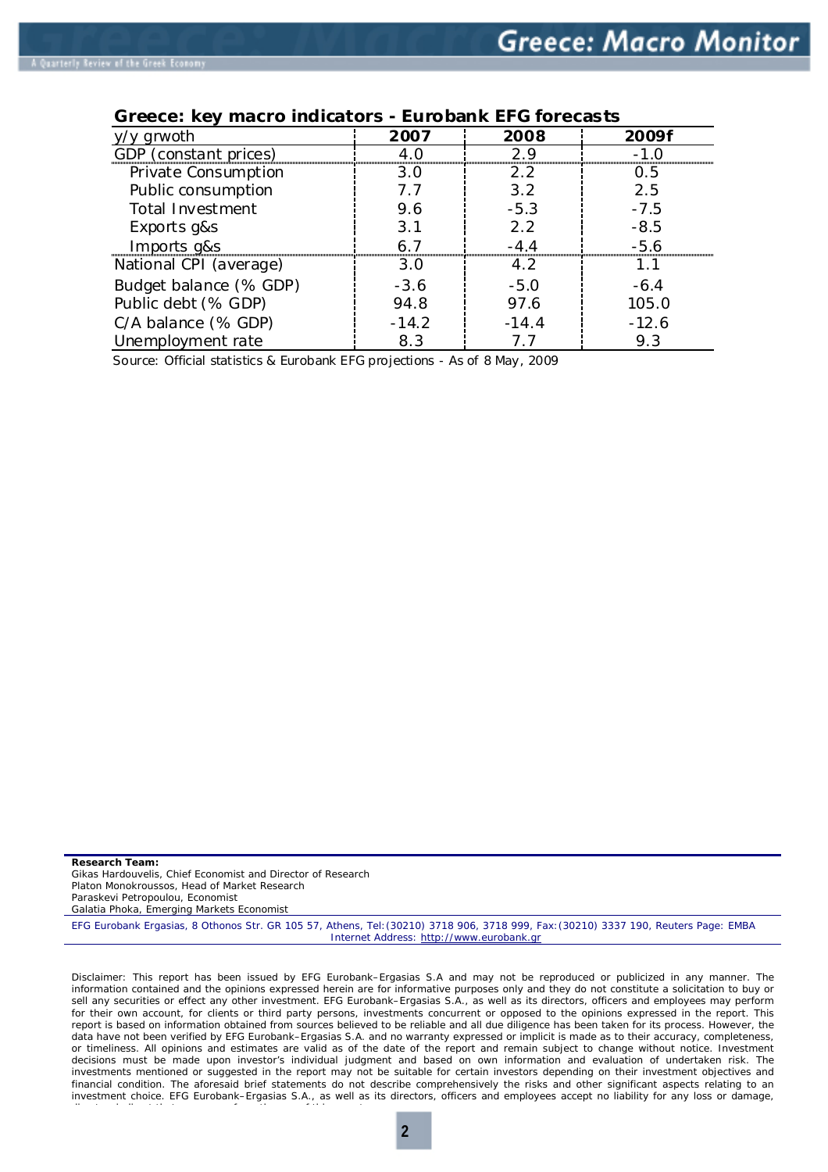| grwoth                 | 2007    | 2008    | 2009f   |  |  |
|------------------------|---------|---------|---------|--|--|
| GDP (constant prices)  |         | つ9      |         |  |  |
| Private Consumption    | 3.0     | 2.2     | 0.5     |  |  |
| Public consumption     | 7.7     | 3.2     | 2.5     |  |  |
| Total Investment       | 9.6     | $-5.3$  | $-7.5$  |  |  |
| Exports g&s            | 3.1     | 2.2     | $-8.5$  |  |  |
| Imports g&s            |         | $-4.4$  | $-5.6$  |  |  |
| National CPI (average) | 3.O     | 4.2     | 1.1     |  |  |
| Budget balance (% GDP) | $-3.6$  | $-5.0$  | $-6.4$  |  |  |
| Public debt (% GDP)    | 94.8    | 97.6    | 105.0   |  |  |
| C/A balance (% GDP)    | $-14.2$ | $-14.4$ | $-12.6$ |  |  |
| Unemployment rate      | 8.3     |         | 9.3     |  |  |

# **Greece: key macro indicators - Eurobank EFG forecasts**

Source: Official statistics & Eurobank EFG projections - As of 8 May, 2009

**Research Team:**  Gikas Hardouvelis, *Chief Economist and Director of* Research Platon Monokroussos, *Head of Market Research* Paraskevi Petropoulou, Economist Galatia Phoka, Emerging Markets Economist EFG Eurobank Ergasias, 8 Othonos Str. GR 105 57, Athens, Tel:(30210) 3718 906, 3718 999, Fax:(30210) 3337 190, Reuters Page: EMBA Internet Address: http://www.eurobank.gr

Disclaimer: This report has been issued by EFG Eurobank–Ergasias S.A and may not be reproduced or publicized in any manner. The information contained and the opinions expressed herein are for informative purposes only and they do not constitute a solicitation to buy or sell any securities or effect any other investment. EFG Eurobank–Ergasias S.A., as well as its directors, officers and employees may perform for their own account, for clients or third party persons, investments concurrent or opposed to the opinions expressed in the report. This report is based on information obtained from sources believed to be reliable and all due diligence has been taken for its process. However, the data have not been verified by EFG Eurobank–Ergasias S.A. and no warranty expressed or implicit is made as to their accuracy, completeness, or timeliness. All opinions and estimates are valid as of the date of the report and remain subject to change without notice. Investment decisions must be made upon investor's individual judgment and based on own information and evaluation of undertaken risk. The investments mentioned or suggested in the report may not be suitable for certain investors depending on their investment objectives and financial condition. The aforesaid brief statements do not describe comprehensively the risks and other significant aspects relating to an investment choice. EFG Eurobank–Ergasias S.A., as well as its directors, officers and employees accept no liability for any loss or damage,

di t i di t th t f th f thi t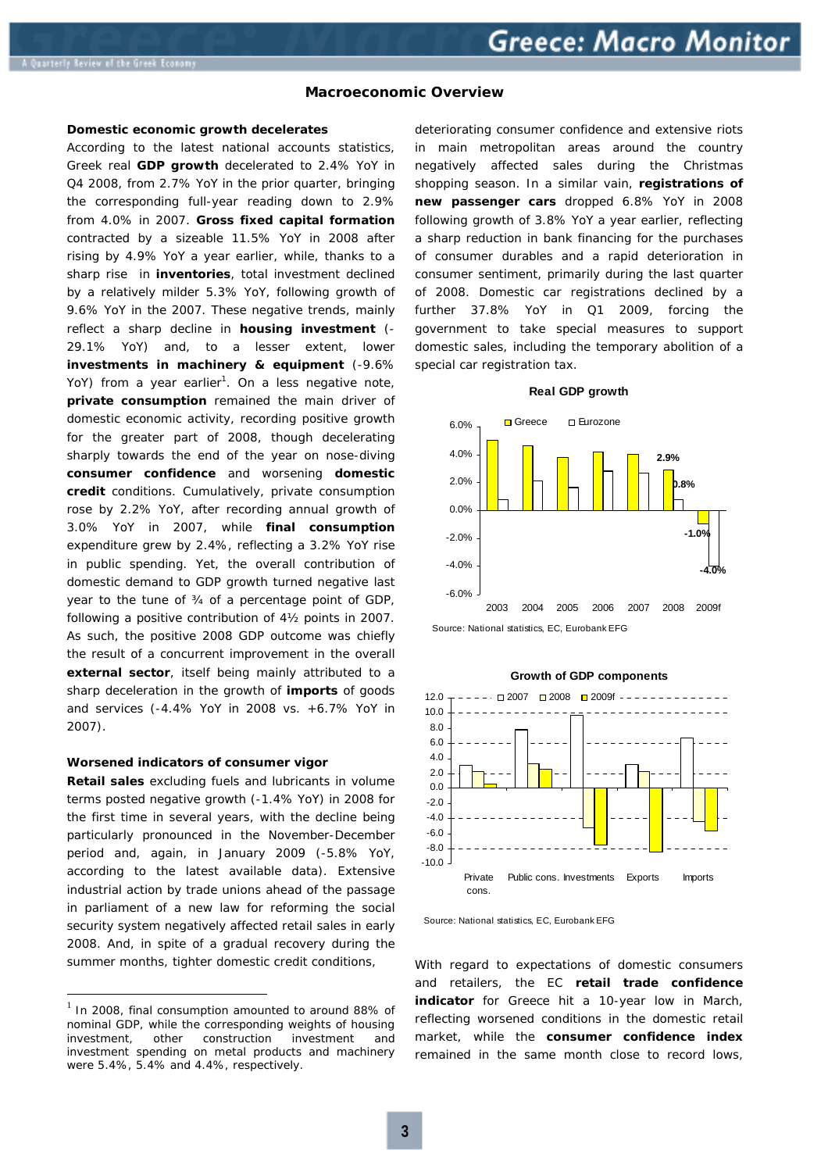#### **Macroeconomic Overview**

#### **Domestic economic growth decelerates**

According to the latest national accounts statistics, Greek real **GDP growth** decelerated to 2.4% YoY in Q4 2008, from 2.7% YoY in the prior quarter, bringing the corresponding full-year reading down to 2.9% from 4.0% in 2007. **Gross fixed capital formation** contracted by a sizeable 11.5% YoY in 2008 after rising by 4.9% YoY a year earlier, while, thanks to a sharp rise in **inventories**, total investment declined by a relatively milder 5.3% YoY, following growth of 9.6% YoY in the 2007. These negative trends, mainly reflect a sharp decline in **housing investment** *(- 29.1% YoY)* and, to a lesser extent, lower **investments in machinery & equipment** *(-9.6% YoY*) from a year earlier<sup>1</sup>. On a less negative note, **private consumption** remained the main driver of domestic economic activity, recording positive growth for the greater part of 2008, though decelerating sharply towards the end of the year on nose-diving **consumer confidence** and worsening **domestic credit** conditions. Cumulatively, private consumption rose by 2.2% YoY, after recording annual growth of 3.0% YoY in 2007, while **final consumption** expenditure grew by 2.4%, reflecting a 3.2% YoY rise in public spending. Yet, the overall contribution of domestic demand to GDP growth turned negative last year to the tune of ¾ of a percentage point of GDP, following a positive contribution of 4½ points in 2007. As such, the positive 2008 GDP outcome was chiefly the result of a concurrent improvement in the overall **external sector**, itself being mainly attributed to a sharp deceleration in the growth of **imports** of goods and services *(-4.4% YoY in 2008 vs. +6.7% YoY in 2007).*

#### **Worsened indicators of consumer vigor**

**Retail sales** excluding fuels and lubricants in volume terms posted negative growth *(-1.4% YoY)* in 2008 for the first time in several years, with the decline being particularly pronounced in the November-December period and, again, in January 2009 *(-5.8% YoY, according to the latest available data).* Extensive industrial action by trade unions ahead of the passage in parliament of a new law for reforming the social security system negatively affected retail sales in early 2008. And, in spite of a gradual recovery during the summer months, tighter domestic credit conditions,

 $\overline{a}$ 

deteriorating consumer confidence and extensive riots in main metropolitan areas around the country negatively affected sales during the Christmas shopping season. In a similar vain, **registrations of new passenger cars** dropped 6.8% YoY in 2008 following growth of 3.8% YoY a year earlier, reflecting a sharp reduction in bank financing for the purchases of consumer durables and a rapid deterioration in consumer sentiment, primarily during the last quarter of 2008. Domestic car registrations declined by a further 37.8% YoY in Q1 2009, forcing the government to take special measures to support domestic sales, including the temporary abolition of a special car registration tax.

#### **Real GDP growth**



Source: National statistics, EC, Eurobank EFG



# **Growth of GDP components**

With regard to expectations of domestic consumers and retailers, the EC **retail trade confidence indicator** for Greece hit a 10-year low in March, reflecting worsened conditions in the domestic retail market, while the **consumer confidence index** remained in the same month close to record lows,

In 2008, final consumption amounted to around 88% of nominal GDP, while the corresponding weights of housing investment, other construction investment and investment spending on metal products and machinery were 5.4%, 5.4% and 4.4%, respectively.

Source: National statistics, EC, Eurobank EFG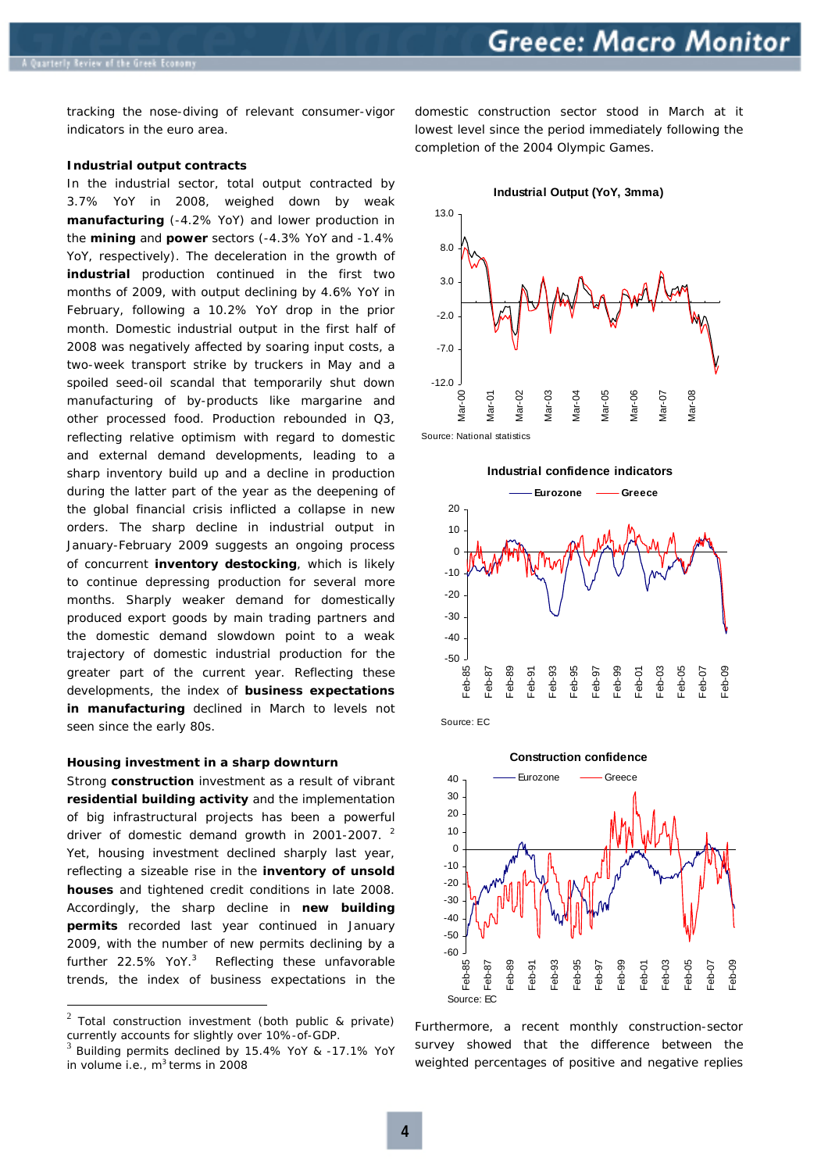tracking the nose-diving of relevant consumer-vigor indicators in the euro area.

#### **Industrial output contracts**

In the industrial sector, total output contracted by 3.7% YoY in 2008*,* weighed down by weak **manufacturing** *(-4.2% YoY)* and lower production in the **mining** and **power** sectors *(-4.3% YoY and -1.4% YoY, respectively).* The deceleration in the growth of **industrial** production continued in the first two months of 2009, with output declining by 4.6% YoY in February, following a 10.2% YoY drop in the prior month. Domestic industrial output in the first half of 2008 was negatively affected by soaring input costs, a two-week transport strike by truckers in May and a spoiled seed-oil scandal that temporarily shut down manufacturing of by-products like margarine and other processed food. Production rebounded in Q3, reflecting relative optimism with regard to domestic and external demand developments, leading to a sharp inventory build up and a decline in production during the latter part of the year as the deepening of the global financial crisis inflicted a collapse in new orders. The sharp decline in industrial output in January-February 2009 suggests an ongoing process of concurrent **inventory destocking**, which is likely to continue depressing production for several more months. Sharply weaker demand for domestically produced export goods by main trading partners and the domestic demand slowdown point to a weak trajectory of domestic industrial production for the greater part of the current year. Reflecting these developments, the index of **business expectations in manufacturing** declined in March to levels not seen since the early 80s.

#### **Housing investment in a sharp downturn**

Strong **construction** investment as a result of vibrant **residential building activity** and the implementation of big infrastructural projects has been a powerful driver of domestic demand growth in 2001-2007. <sup>2</sup> Yet, housing investment declined sharply last year, reflecting a sizeable rise in the **inventory of unsold houses** and tightened credit conditions in late 2008. Accordingly, the sharp decline in **new building permits** recorded last year continued in January 2009, with the number of new permits declining by a further 22.5% YoY.<sup>3</sup> Reflecting these unfavorable trends, the index of business expectations in the

 $\overline{a}$ 

domestic construction sector stood in March at it lowest level since the period immediately following the completion of the 2004 Olympic Games.

**Industrial Output (YoY, 3mma)**



Source: National statistics





Source: EC



Furthermore, a recent monthly construction-sector survey showed that the difference between the weighted percentages of positive and negative replies

 $2$  Total construction investment (both public & private) currently accounts for slightly over 10%-of-GDP.<br> $3$  Building permits declined by 15.4% YoY & -17.1% YoY

in volume i.e.,  $m^3$  terms in 2008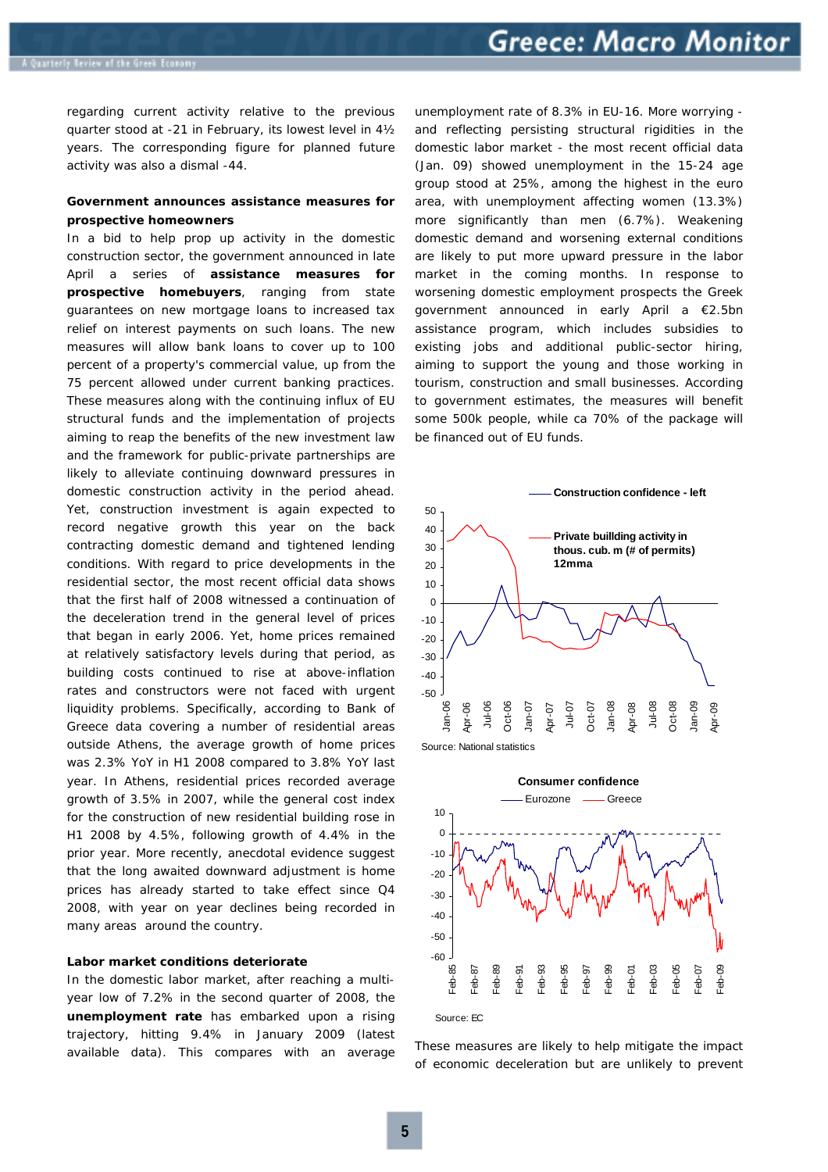regarding current activity relative to the previous quarter stood at -21 in February, its lowest level in 4½ years. The corresponding figure for planned future activity was also a dismal -44.

## **Government announces assistance measures for prospective homeowners**

In a bid to help prop up activity in the domestic construction sector, the government announced in late April a series of **assistance measures for prospective homebuyers**, ranging from state guarantees on new mortgage loans to increased tax relief on interest payments on such loans. The new measures will allow bank loans to cover up to 100 percent of a property's commercial value, up from the 75 percent allowed under current banking practices. These measures along with the continuing influx of EU structural funds and the implementation of projects aiming to reap the benefits of the new investment law and the framework for public-private partnerships are likely to alleviate continuing downward pressures in domestic construction activity in the period ahead. Yet, construction investment is again expected to record negative growth this year on the back contracting domestic demand and tightened lending conditions. With regard to price developments in the residential sector, the most recent official data shows that the first half of 2008 witnessed a continuation of the deceleration trend in the general level of prices that began in early 2006. Yet, home prices remained at relatively satisfactory levels during that period, as building costs continued to rise at above-inflation rates and constructors were not faced with urgent liquidity problems. Specifically, according to Bank of Greece data covering a number of residential areas outside Athens, the average growth of home prices was 2.3% YoY in H1 2008 compared to 3.8% YoY last year. In Athens, residential prices recorded average growth of 3.5% in 2007, while the general cost index for the construction of new residential building rose in H1 2008 by 4.5%, following growth of 4.4% in the prior year. More recently, anecdotal evidence suggest that the long awaited downward adjustment is home prices has already started to take effect since Q4 2008, with year on year declines being recorded in many areas around the country.

#### **Labor market conditions deteriorate**

In the domestic labor market, after reaching a multiyear low of 7.2% in the second quarter of 2008, the **unemployment rate** has embarked upon a rising trajectory, hitting 9.4% in January 2009 *(latest available data)*. This compares with an average unemployment rate of 8.3% in EU-16. More worrying  *and reflecting persisting structural rigidities in the domestic labor market -* the most recent official data *(Jan. 09)* showed unemployment in the 15-24 age group stood at 25%, among the highest in the euro area, with unemployment affecting women *(13.3%)*  more significantly than men *(6.7%).* Weakening domestic demand and worsening external conditions are likely to put more upward pressure in the labor market in the coming months. In response to worsening domestic employment prospects the Greek government announced in early April a €2.5bn assistance program, which includes subsidies to existing jobs and additional public-sector hiring, aiming to support the young and those working in tourism, construction and small businesses. According to government estimates, the measures will benefit some 500k people, while ca 70% of the package will be financed out of EU funds.



Source: National statistics



These measures are likely to help mitigate the impact of economic deceleration but are unlikely to prevent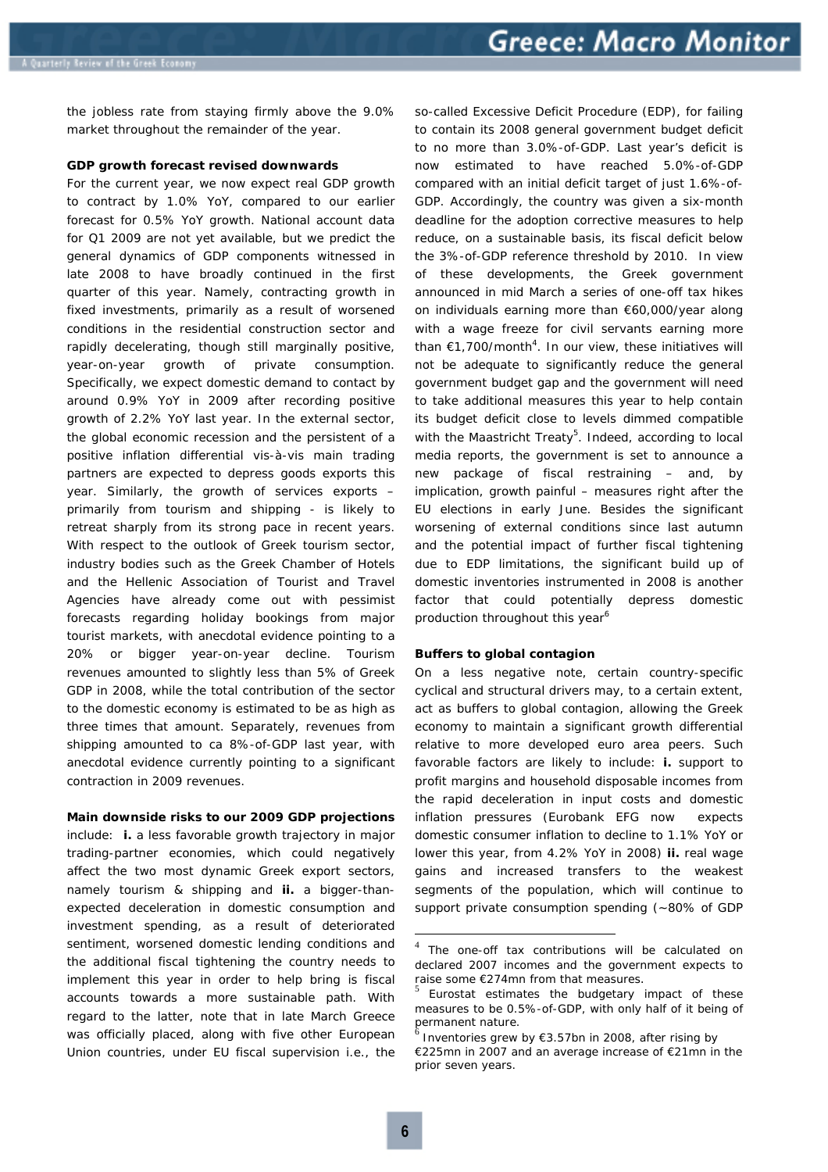the jobless rate from staying firmly above the 9.0% market throughout the remainder of the year.

#### **GDP growth forecast revised downwards**

For the current year, we now expect real GDP growth to contract by 1.0% YoY, compared to our earlier forecast for 0.5% YoY growth. National account data for Q1 2009 are not yet available, but we predict the general dynamics of GDP components witnessed in late 2008 to have broadly continued in the first quarter of this year. Namely, contracting growth in fixed investments, primarily as a result of worsened conditions in the residential construction sector and rapidly decelerating, though still marginally positive, year-on-year growth of private consumption. Specifically, we expect domestic demand to contact by around 0.9% YoY in 2009 after recording positive growth of 2.2% YoY last year. In the external sector, the global economic recession and the persistent of a positive inflation differential vis-à-vis main trading partners are expected to depress goods exports this year. Similarly, the growth of services exports *– primarily from tourism and shipping -* is likely to retreat sharply from its strong pace in recent years. With respect to the outlook of Greek tourism sector, industry bodies such as the Greek Chamber of Hotels and the Hellenic Association of Tourist and Travel Agencies have already come out with pessimist forecasts regarding holiday bookings from major tourist markets, with anecdotal evidence pointing to a 20% or bigger year-on-year decline. Tourism revenues amounted to slightly less than 5% of Greek GDP in 2008, while the total contribution of the sector to the domestic economy is estimated to be as high as three times that amount. Separately, revenues from shipping amounted to ca 8%-of-GDP last year, with anecdotal evidence currently pointing to a significant contraction in 2009 revenues.

#### **Main downside risks to our 2009 GDP projections**

include: **i.** a less favorable growth trajectory in major trading-partner economies, which could negatively affect the two most dynamic Greek export sectors, namely tourism & shipping and **ii.** a bigger-thanexpected deceleration in domestic consumption and investment spending, as a result of deteriorated sentiment, worsened domestic lending conditions and the additional fiscal tightening the country needs to implement this year in order to help bring is fiscal accounts towards a more sustainable path. With regard to the latter, note that in late March Greece was officially placed, along with five other European Union countries, under EU fiscal supervision i.e., the so-called Excessive Deficit Procedure (EDP), for failing to contain its 2008 general government budget deficit to no more than 3.0%-of-GDP. *Last year's deficit is now estimated to have reached 5.0%-of-GDP compared with an initial deficit target of just 1.6%-of-GDP*. Accordingly, the country was given a six-month deadline for the adoption corrective measures to help reduce, on a sustainable basis, its fiscal deficit below the 3%-of-GDP reference threshold by 2010. In view of these developments, the Greek government announced in mid March a series of one-off tax hikes on individuals earning more than €60,000/year along with a wage freeze for civil servants earning more than  $\epsilon$ 1,700/month<sup>4</sup>. In our view, these initiatives will not be adequate to significantly reduce the general government budget gap and the government will need to take additional measures this year to help contain its budget deficit close to levels dimmed compatible with the Maastricht Treaty<sup>5</sup>. Indeed, according to local media reports, the government is set to announce a new package of fiscal restraining – *and, by implication, growth painful –* measures right after the EU elections in early June. Besides the significant worsening of external conditions since last autumn and the potential impact of further fiscal tightening due to EDP limitations, the significant build up of domestic inventories instrumented in 2008 is another factor that could potentially depress domestic production throughout this year<sup>6</sup>

#### **Buffers to global contagion**

On a less negative note, certain country-specific cyclical and structural drivers may, to a certain extent, act as buffers to global contagion, allowing the Greek economy to maintain a significant growth differential relative to more developed euro area peers. Such favorable factors are likely to include: **i.** support to profit margins and household disposable incomes from the rapid deceleration in input costs and domestic inflation pressures *(Eurobank EFG now expects domestic consumer inflation to decline to 1.1% YoY or lower this year, from 4.2% YoY in 2008)* **ii.** real wage gains and increased transfers to the weakest segments of the population, which will continue to support private consumption spending *(~80% of GDP* 

<sup>4</sup> The one-off tax contributions will be calculated on declared 2007 incomes and the government expects to raise some  $E274$ mn from that measures.<br>
<sup>5</sup> Eurostat estimates the budgetary impact of these

measures to be 0.5%-of-GDP, with only half of it being of permanent nature.<br><sup>6</sup> Inventories grew by €3.57bn in 2008, after rising by

<sup>€225</sup>mn in 2007 and an average increase of €21mn in the prior seven years.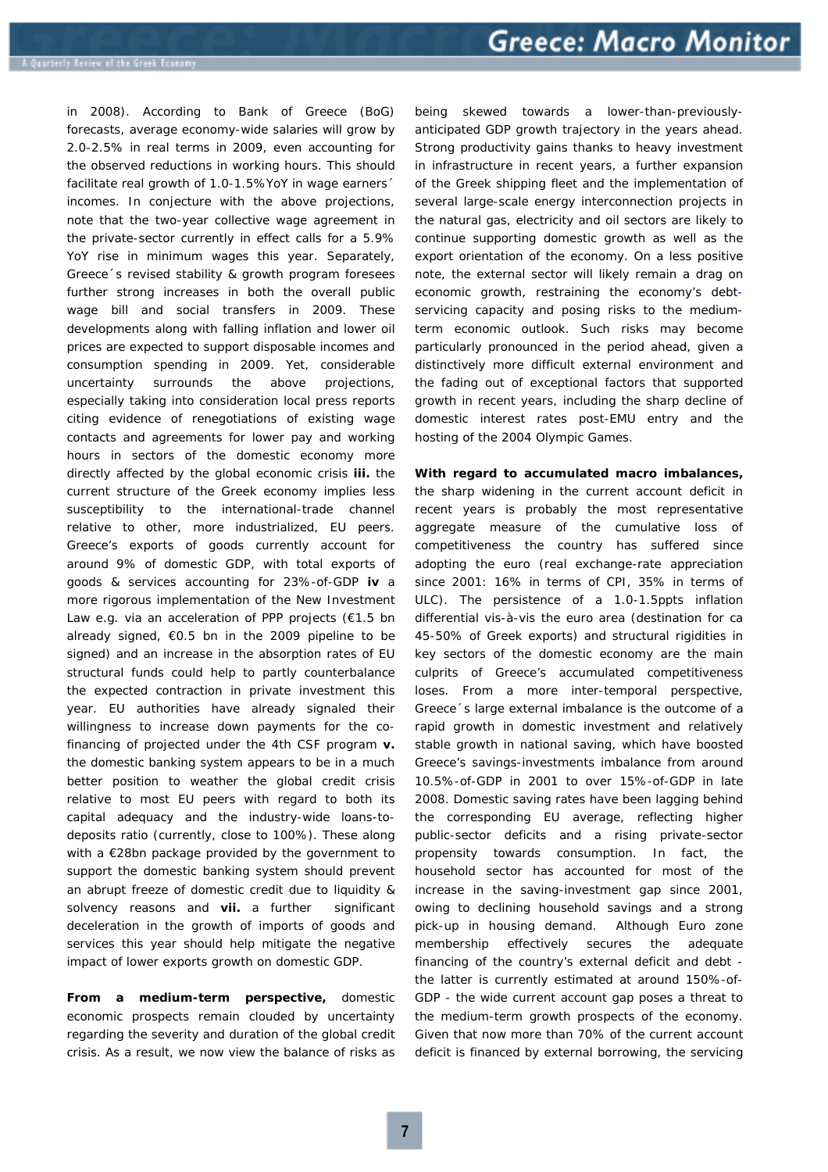*in 2008).* According to Bank of Greece *(BoG)* forecasts, average economy-wide salaries will grow by 2.0-2.5% in real terms in 2009, even accounting for the observed reductions in working hours. This should facilitate real growth of 1.0-1.5%YoY in wage earners' incomes. In conjecture with the above projections, note that the two-year collective wage agreement in the private-sector currently in effect calls for a 5.9% YoY rise in minimum wages this year. Separately, Greece´s revised stability & growth program foresees further strong increases in both the overall public wage bill and social transfers in 2009. These developments along with falling inflation and lower oil prices are expected to support disposable incomes and consumption spending in 2009. Yet, considerable uncertainty surrounds the above projections, especially taking into consideration local press reports citing evidence of renegotiations of existing wage contacts and agreements for lower pay and working hours in sectors of the domestic economy more directly affected by the global economic crisis **iii.** the current structure of the Greek economy implies less susceptibility to the international-trade channel relative to other, more industrialized, EU peers. Greece's exports of goods currently account for around 9% of domestic GDP, with total exports of goods & services accounting for 23%-of-GDP **iv** a more rigorous implementation of the New Investment Law e.g. via an acceleration of PPP projects *(€1.5 bn already signed, €0.5 bn in the 2009 pipeline to be signed)* and an increase in the absorption rates of EU structural funds could help to partly counterbalance the expected contraction in private investment this year. EU authorities have already signaled their willingness to increase down payments for the cofinancing of projected under the 4th CSF program **v.** the domestic banking system appears to be in a much better position to weather the global credit crisis relative to most EU peers with regard to both its capital adequacy and the industry-wide loans-todeposits ratio *(currently, close to 100%).* These along with a €28bn package provided by the government to support the domestic banking system should prevent an abrupt freeze of domestic credit due to liquidity & solvency reasons and **vii.** a further significant deceleration in the growth of imports of goods and services this year should help mitigate the negative impact of lower exports growth on domestic GDP.

**From a medium-term perspective,** domestic economic prospects remain clouded by uncertainty regarding the severity and duration of the global credit crisis. As a result, we now view the balance of risks as

being skewed towards a lower-than-previouslyanticipated GDP growth trajectory in the years ahead. Strong productivity gains thanks to heavy investment in infrastructure in recent years, a further expansion of the Greek shipping fleet and the implementation of several large-scale energy interconnection projects in the natural gas, electricity and oil sectors are likely to continue supporting domestic growth as well as the export orientation of the economy. On a less positive note, the external sector will likely remain a drag on economic growth, restraining the economy's debtservicing capacity and posing risks to the mediumterm economic outlook. Such risks may become particularly pronounced in the period ahead, given a distinctively more difficult external environment and the fading out of exceptional factors that supported growth in recent years, including the sharp decline of domestic interest rates post-EMU entry and the hosting of the 2004 Olympic Games.

# **With regard to accumulated macro imbalances,**

the sharp widening in the current account deficit in recent years is probably the most representative aggregate measure of the cumulative loss of competitiveness the country has suffered since adopting the euro *(real exchange-rate appreciation since 2001: 16% in terms of CPI, 35% in terms of ULC)*. The persistence of a 1.0-1.5ppts inflation differential vis-à-vis the euro area *(destination for ca 45-50% of Greek exports)* and structural rigidities in key sectors of the domestic economy are the main culprits of Greece's accumulated competitiveness loses. From a more inter-temporal perspective, Greece´s large external imbalance is the outcome of a rapid growth in domestic investment and relatively stable growth in national saving, which have boosted Greece's savings-investments imbalance from around 10.5%-of-GDP in 2001 to over 15%-of-GDP in late 2008. Domestic saving rates have been lagging behind the corresponding EU average, reflecting higher public-sector deficits and a rising private-sector propensity towards consumption. In fact, the household sector has accounted for most of the increase in the saving-investment gap since 2001, owing to declining household savings and a strong pick-up in housing demand. Although Euro zone membership effectively secures the adequate financing of the country's external deficit and debt the latter is currently estimated at around 150%-of-GDP - the wide current account gap poses a threat to the medium-term growth prospects of the economy. Given that now more than 70% of the current account deficit is financed by external borrowing, the servicing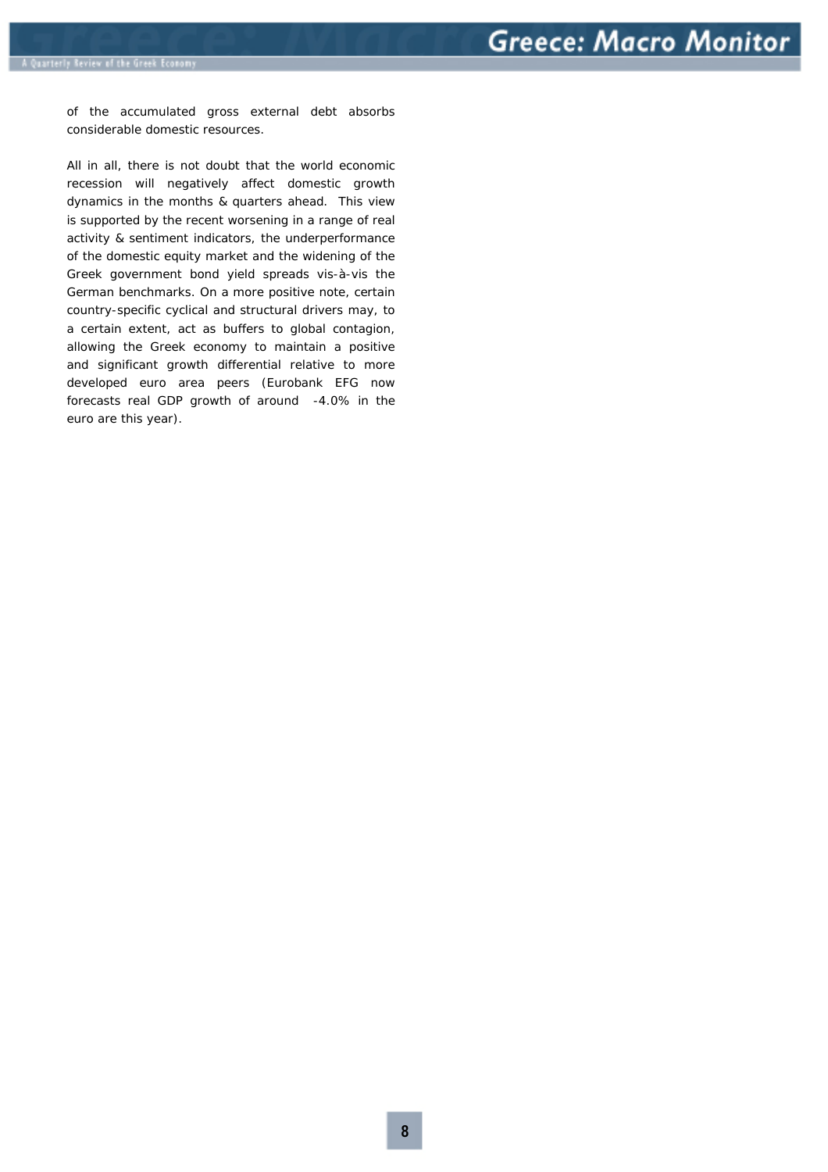of the accumulated gross external debt absorbs considerable domestic resources.

All in all, there is not doubt that the world economic recession will negatively affect domestic growth dynamics in the months & quarters ahead. This view is supported by the recent worsening in a range of real activity & sentiment indicators, the underperformance of the domestic equity market and the widening of the Greek government bond yield spreads vis-à-vis the German benchmarks. On a more positive note, certain country-specific cyclical and structural drivers may, to a certain extent, act as buffers to global contagion, allowing the Greek economy to maintain a positive and significant growth differential relative to more developed euro area peers *(Eurobank EFG now forecasts real GDP growth of around -4.0% in the euro are this year).*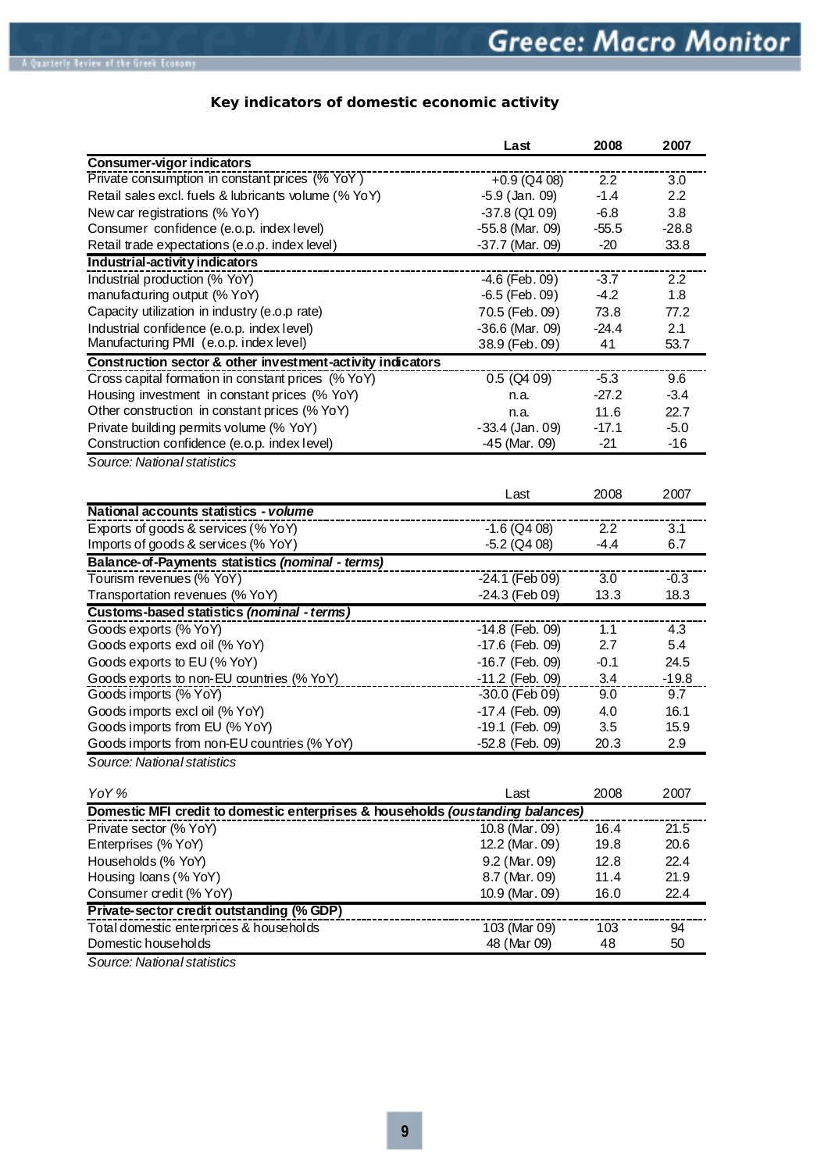# **Key indicators of domestic economic activity**

|                                                                                | Last              | 2008    | 2007    |
|--------------------------------------------------------------------------------|-------------------|---------|---------|
| Consumer-vigor indicators                                                      |                   |         |         |
| Private consumption in constant prices (% YoY)                                 | $+0.9$ (Q4 08)    | 2.2     | 3.0     |
| Retail sales excl. fuels & lubricants volume (% YoY)                           | $-5.9$ (Jan. 09)  | $-1.4$  | 2.2     |
| New car registrations (% YoY)                                                  | $-37.8$ (Q1 09)   | $-6.8$  | 3.8     |
| Consumer confidence (e.o.p. index level)                                       | $-55.8$ (Mar. 09) | $-55.5$ | $-28.8$ |
| Retail trade expectations (e.o.p. index level)                                 | $-37.7$ (Mar. 09) | $-20$   | 33.8    |
| Industrial-activity indicators                                                 |                   |         |         |
| Industrial production (% YoY)                                                  | $-4.6$ (Feb. 09)  | $-3.7$  | 2.2     |
| manufacturing output (% YoY)                                                   | $-6.5$ (Feb. 09)  | $-4.2$  | 1.8     |
| Capacity utilization in industry (e.o.p rate)                                  | 70.5 (Feb. 09)    | 73.8    | 77.2    |
| Industrial confidence (e.o.p. index level)                                     | $-36.6$ (Mar. 09) | $-24.4$ | 2.1     |
| Manufacturing PMI (e.o.p. index level)                                         | 38.9 (Feb. 09)    | 41      | 53.7    |
| Construction sector & other investment-activity indicators                     |                   |         |         |
| Cross capital formation in constant prices (% YoY)                             | $0.5$ (Q4 09)     | $-5.3$  | 9.6     |
| Housing investment in constant prices (% YoY)                                  | n.a.              | $-27.2$ | $-3.4$  |
| Other construction in constant prices (% YoY)                                  | n.a.              | 11.6    | 22.7    |
| Private building permits volume (% YoY)                                        | $-33.4$ (Jan. 09) | $-17.1$ | $-5.0$  |
| Construction confidence (e.o.p. index level)                                   | $-45$ (Mar. 09)   | $-21$   | $-16$   |
| Source: National statistics                                                    |                   |         |         |
|                                                                                |                   |         |         |
|                                                                                | Last              | 2008    | 2007    |
| National accounts statistics - volume                                          |                   |         |         |
| Exports of goods & services (% YoY)                                            | $-1.6$ (Q4 08)    | 2.2     | 3.1     |
| Imports of goods & services (% YoY)                                            | $-5.2$ (Q4 08)    | $-4.4$  | 6.7     |
| Balance-of-Payments statistics (nominal - terms)                               |                   |         |         |
| Tourism revenues (% YoY)                                                       | -24.1 (Feb 09)    | 3.0     | $-0.3$  |
| Transportation revenues (% YoY)                                                | -24.3 (Feb 09)    | 13.3    | 18.3    |
| Customs-based statistics (nominal - terms)                                     |                   |         |         |
| Goods exports (% YoY)                                                          | $-14.8$ (Feb. 09) | 1.1     | 4.3     |
| Goods exports exd oil (% YoY)                                                  | -17.6 (Feb. 09)   | 2.7     | 5.4     |
| Goods exports to EU (% YoY)                                                    | $-16.7$ (Feb. 09) | $-0.1$  | 24.5    |
| Goods exports to non-EU countries (% YoY)                                      | -11.2 (Feb. 09)   | 3.4     | $-19.8$ |
| Goods imports (% YoY)                                                          | -30.0 (Feb 09)    | 9.0     | 9.7     |
| Goods imports excl oil (% YoY)                                                 | -17.4 (Feb. 09)   | 4.0     | 16.1    |
| Goods imports from EU (% YoY)                                                  | -19.1 (Feb. 09)   | 3.5     | 15.9    |
| Goods imports from non-EU countries (% YoY)                                    | -52.8 (Feb. 09)   | 20.3    | 2.9     |
| Source: National statistics                                                    |                   |         |         |
| YoY%                                                                           | Last              | 2008    | 2007    |
| Domestic MFI credit to domestic enterprises & households (oustanding balances) |                   |         |         |
| Private sector (% YoY)                                                         | 10.8 (Mar. 09)    | 16.4    | 21.5    |
| Enterprises (% YoY)                                                            | 12.2 (Mar. 09)    | 19.8    | 20.6    |
| Households (% YoY)                                                             | 9.2 (Mar. 09)     | 12.8    | 22.4    |
| Housing loans (% YoY)                                                          | 8.7 (Mar. 09)     | 11.4    | 21.9    |
| Consumer credit (% YoY)                                                        | 10.9 (Mar. 09)    | 16.0    | 22.4    |
| Private-sector credit outstanding (% GDP)                                      |                   |         |         |
| Total domestic enterprices & households                                        | 103 (Mar 09)      | 103     | 94      |
| Domestic households                                                            | 48 (Mar 09)       | 48      | 50      |
|                                                                                |                   |         |         |

*Source: National statistics*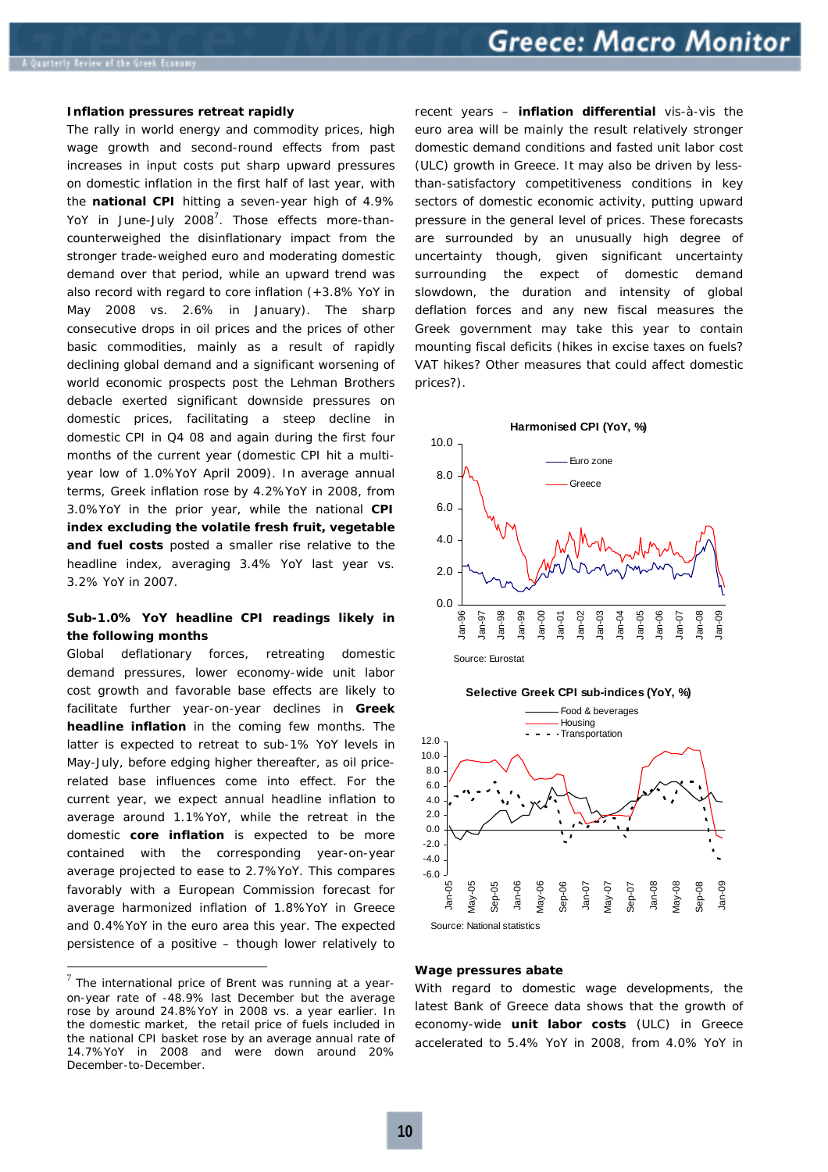#### **Inflation pressures retreat rapidly**

The rally in world energy and commodity prices, high wage growth and second-round effects from past increases in input costs put sharp upward pressures on domestic inflation in the first half of last year, with the **national CPI** hitting a seven-year high of 4.9% YoY in June-July 2008<sup>7</sup>. Those effects more-thancounterweighed the disinflationary impact from the stronger trade-weighed euro and moderating domestic demand over that period, while an upward trend was also record with regard to core inflation *(+3.8% YoY in May 2008 vs. 2.6% in January).* The sharp consecutive drops in oil prices and the prices of other basic commodities, mainly as a result of rapidly declining global demand and a significant worsening of world economic prospects post the Lehman Brothers debacle exerted significant downside pressures on domestic prices, facilitating a steep decline in domestic CPI in Q4 08 and again during the first four months of the current year *(domestic CPI hit a multiyear low of 1.0%YoY April 2009).* In average annual terms, Greek inflation rose by 4.2%YoY in 2008, from 3.0%YoY in the prior year, while the national **CPI index excluding the volatile fresh fruit, vegetable and fuel costs** posted a smaller rise relative to the headline index, averaging 3.4% YoY last year vs. 3.2% YoY in 2007.

# **Sub-1.0% YoY headline CPI readings likely in the following months**

Global deflationary forces, retreating domestic demand pressures, lower economy-wide unit labor cost growth and favorable base effects are likely to facilitate further year-on-year declines in **Greek headline inflation** in the coming few months. The latter is expected to retreat to sub-1% YoY levels in May-July, before edging higher thereafter, as oil pricerelated base influences come into effect. For the current year, we expect annual headline inflation to average around 1.1%YoY, while the retreat in the domestic **core inflation** is expected to be more contained with the corresponding year-on-year average projected to ease to 2.7%YoY. This compares favorably with a European Commission forecast for average harmonized inflation of 1.8%YoY in Greece and 0.4%YoY in the euro area this year. The expected persistence of a positive *– though lower relatively to* 

 $\overline{a}$ 

*recent years –* **inflation differential** vis-à-vis the euro area will be mainly the result relatively stronger domestic demand conditions and fasted unit labor cost (ULC) growth in Greece. It may also be driven by lessthan-satisfactory competitiveness conditions in key sectors of domestic economic activity, putting upward pressure in the general level of prices. These forecasts are surrounded by an unusually high degree of uncertainty though, given significant uncertainty surrounding the expect of domestic demand slowdown, the duration and intensity of global deflation forces and any new fiscal measures the Greek government may take this year to contain mounting fiscal deficits *(hikes in excise taxes on fuels? VAT hikes? Other measures that could affect domestic prices?).* 







#### **Wage pressures abate**

With regard to domestic wage developments, the latest Bank of Greece data shows that the growth of economy-wide **unit labor costs** *(ULC)* in Greece accelerated to 5.4% YoY in 2008, from 4.0% YoY in

 $7$  The international price of Brent was running at a yearon-year rate of -48.9% last December but the average rose by around 24.8%YoY in 2008 vs. a year earlier. In the domestic market, the retail price of fuels included in the national CPI basket rose by an average annual rate of 14.7%YoY in 2008 and were down around 20% December-to-December.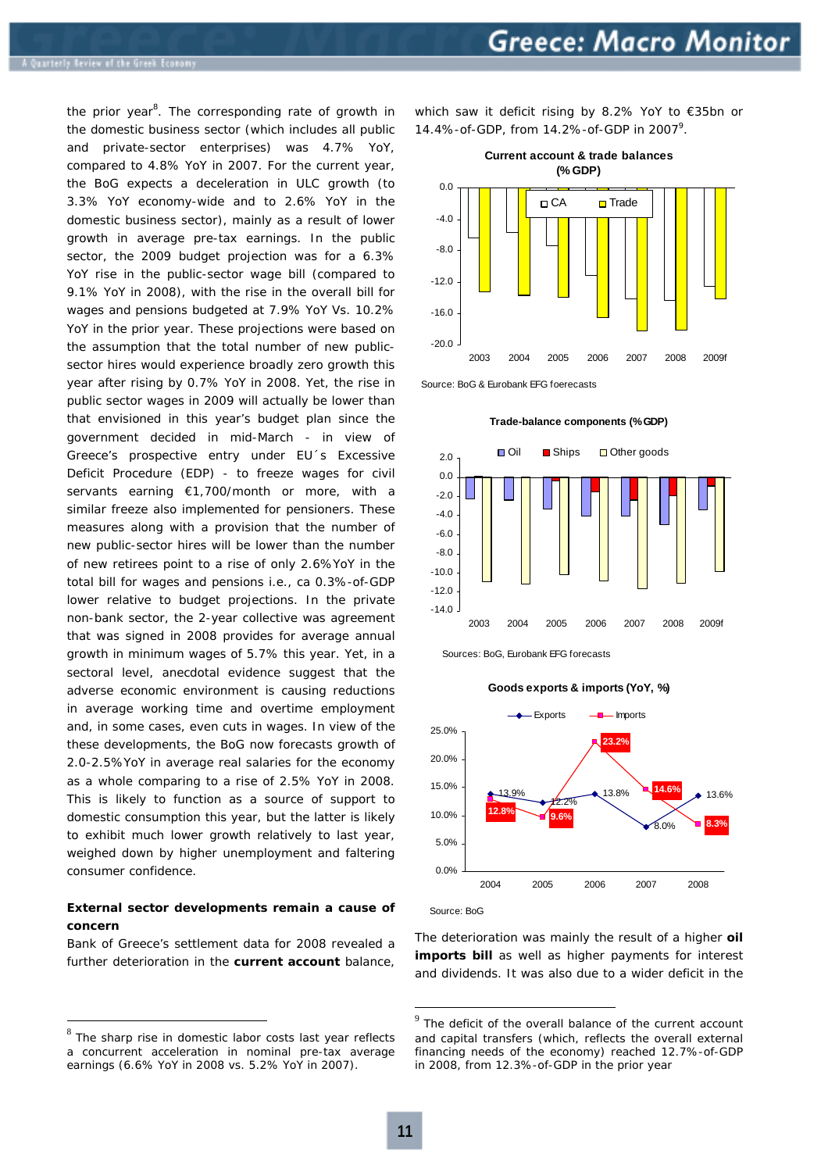the prior year<sup>8</sup>. The corresponding rate of growth in the domestic business sector *(which includes all public and private-sector enterprises)* was 4.7% YoY, compared to 4.8% YoY in 2007. For the current year, the BoG expects a deceleration in ULC growth *(to 3.3% YoY economy-wide and to 2.6% YoY in the domestic business sector),* mainly as a result of lower growth in average pre-tax earnings. In the public sector, the 2009 budget projection was for a 6.3% YoY rise in the public-sector wage bill *(compared to 9.1% YoY in 2008)*, with the rise in the overall bill for wages and pensions budgeted at 7.9% YoY Vs. 10.2% YoY in the prior year. These projections were based on the assumption that the total number of new publicsector hires would experience broadly zero growth this year after rising by 0.7% YoY in 2008. Yet, the rise in public sector wages in 2009 will actually be lower than that envisioned in this year's budget plan since the government decided in mid-March *- in view of Greece's prospective entry under EU´s Excessive Deficit Procedure (EDP) -* to freeze wages for civil servants earning €1,700/month or more, with a similar freeze also implemented for pensioners. These measures along with a provision that the number of new public-sector hires will be lower than the number of new retirees point to a rise of only 2.6%YoY in the total bill for wages and pensions i.e., ca 0.3%-of-GDP lower relative to budget projections. In the private non-bank sector, the 2-year collective was agreement that was signed in 2008 provides for average annual growth in minimum wages of 5.7% this year. Yet, in a sectoral level, anecdotal evidence suggest that the adverse economic environment is causing reductions in average working time and overtime employment and, in some cases, even cuts in wages. In view of the these developments, the BoG now forecasts growth of 2.0-2.5%YoY in average real salaries for the economy as a whole comparing to a rise of 2.5% YoY in 2008. This is likely to function as a source of support to domestic consumption this year, but the latter is likely to exhibit much lower growth relatively to last year, weighed down by higher unemployment and faltering consumer confidence.

# **External sector developments remain a cause of concern**

Bank of Greece's settlement data for 2008 revealed a further deterioration in the **current account** balance,

 $\overline{a}$ 

which saw it deficit rising by 8.2% YoY to €35bn or 14.4%-of-GDP, from 14.2%-of-GDP in 2007<sup>9</sup>.



Source: BoG & Eurobank EFG foerecasts



**Trade-balance components (% GDP)** 

Sources: BoG, Eurobank EFG forecasts





Source: BoG

The deterioration was mainly the result of a higher **oil imports bill** as well as higher payments for interest and dividends. It was also due to a wider deficit in the

 $8$  The sharp rise in domestic labor costs last year reflects a concurrent acceleration in nominal pre-tax average earnings (6.6% YoY in 2008 vs. 5.2% YoY in 2007).

 $9$  The deficit of the overall balance of the current account and capital transfers *(which, reflects the overall external financing needs of the economy)* reached 12.7%-of-GDP in 2008, from 12.3%-of-GDP in the prior year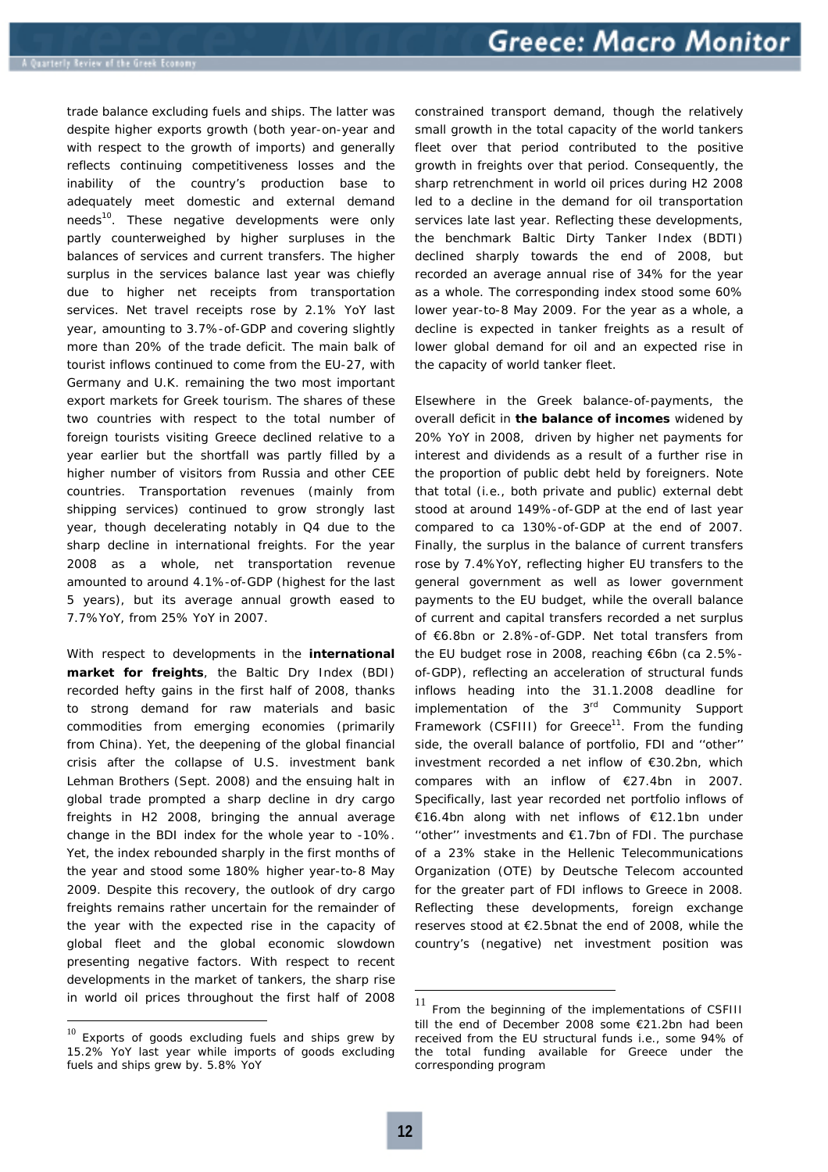trade balance excluding fuels and ships. The latter was despite higher exports growth *(both year-on-year and with respect to the growth of imports)* and generally reflects continuing competitiveness losses and the inability of the country's production base to adequately meet domestic and external demand needs<sup>10</sup>. These negative developments were only partly counterweighed by higher surpluses in the balances of services and current transfers. The higher surplus in the services balance last year was chiefly due to higher net receipts from transportation services. Net travel receipts rose by 2.1% YoY last year, amounting to 3.7%-of-GDP and covering slightly more than 20% of the trade deficit. The main balk of tourist inflows continued to come from the EU-27, with Germany and U.K. remaining the two most important export markets for Greek tourism. The shares of these two countries with respect to the total number of foreign tourists visiting Greece declined relative to a year earlier but the shortfall was partly filled by a higher number of visitors from Russia and other CEE countries. Transportation revenues *(mainly from shipping services)* continued to grow strongly last year, though decelerating notably in Q4 due to the sharp decline in international freights. For the year 2008 as a whole, net transportation revenue amounted to around 4.1%-of-GDP *(highest for the last 5 years),* but its average annual growth eased to 7.7%YoY, from 25% YoY in 2007.

With respect to developments in the **international market for freights**, the Baltic Dry Index *(BDI)* recorded hefty gains in the first half of 2008, thanks to strong demand for raw materials and basic commodities from emerging economies *(primarily from China).* Yet, the deepening of the global financial crisis after the collapse of U.S. investment bank Lehman Brothers *(Sept. 2008)* and the ensuing halt in global trade prompted a sharp decline in dry cargo freights in H2 2008, bringing the annual average change in the BDI index for the whole year to -10%. Yet, the index rebounded sharply in the first months of the year and stood some 180% higher year-to-8 May 2009. Despite this recovery, the outlook of dry cargo freights remains rather uncertain for the remainder of the year with the expected rise in the capacity of global fleet and the global economic slowdown presenting negative factors. With respect to recent developments in the market of tankers, the sharp rise in world oil prices throughout the first half of 2008

 $\overline{a}$ 

constrained transport demand, though the relatively small growth in the total capacity of the world tankers fleet over that period contributed to the positive growth in freights over that period. Consequently, the sharp retrenchment in world oil prices during H2 2008 led to a decline in the demand for oil transportation services late last year. Reflecting these developments, the benchmark Baltic Dirty Tanker Index (BDTI) declined sharply towards the end of 2008, but recorded an average annual rise of 34% for the year as a whole. The corresponding index stood some 60% lower year-to-8 May 2009. For the year as a whole, a decline is expected in tanker freights as a result of lower global demand for oil and an expected rise in the capacity of world tanker fleet.

Elsewhere in the Greek balance-of-payments, the overall deficit in **the balance of incomes** widened by 20% YoY in 2008, driven by higher net payments for interest and dividends as a result of a further rise in the proportion of public debt held by foreigners. Note that total *(i.e., both private and public)* external debt stood at around 149%-of-GDP at the end of last year compared to ca 130%-of-GDP at the end of 2007. Finally, the surplus in the balance of current transfers rose by 7.4%YoY, reflecting higher EU transfers to the general government as well as lower government payments to the EU budget, while the overall balance of current and capital transfers recorded a net surplus of €6.8bn or 2.8%-of-GDP. Net total transfers from the EU budget rose in 2008, reaching €6bn *(ca 2.5% of-GDP),* reflecting an acceleration of structural funds inflows heading into the 31.1.2008 deadline for implementation of the  $3<sup>rd</sup>$  Community Support Framework (CSFIII) for Greece<sup>11</sup>. From the funding side, the overall balance of portfolio, FDI and ''other'' investment recorded a net inflow of €30.2bn, which compares with an inflow of €27.4bn in 2007. Specifically, last year recorded net portfolio inflows of €16.4bn along with net inflows of €12.1bn under "other" investments and  $E1.7$ bn of FDI. The purchase of a 23% stake in the Hellenic Telecommunications Organization *(OTE)* by Deutsche Telecom accounted for the greater part of FDI inflows to Greece in 2008. Reflecting these developments, foreign exchange reserves stood at €2.5bnat the end of 2008, while the country's *(negative)* net investment position was

 $10$  Exports of goods excluding fuels and ships grew by 15.2% YoY last year while imports of goods excluding fuels and ships grew by. 5.8% YoY

<sup>11</sup> From the beginning of the implementations of CSFIII till the end of December 2008 some €21.2bn had been received from the EU structural funds i.e., some 94% of the total funding available for Greece under the corresponding program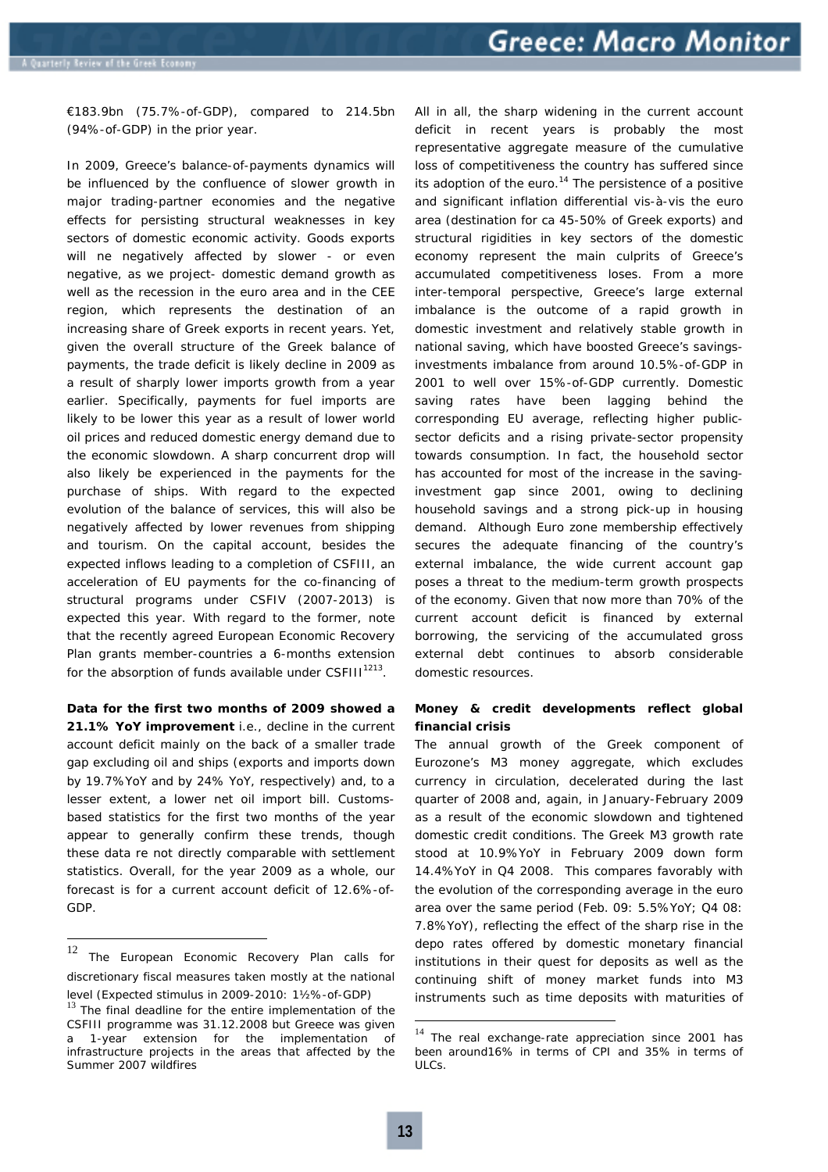€183.9bn *(75.7%-of-GDP)*, compared to 214.5bn *(94%-of-GDP)* in the prior year.

In 2009, Greece's balance-of-payments dynamics will be influenced by the confluence of slower growth in major trading-partner economies and the negative effects for persisting structural weaknesses in key sectors of domestic economic activity. Goods exports will ne negatively affected by slower *- or even negative, as we project-* domestic demand growth as well as the recession in the euro area and in the CEE region, which represents the destination of an increasing share of Greek exports in recent years. Yet, given the overall structure of the Greek balance of payments, the trade deficit is likely decline in 2009 as a result of sharply lower imports growth from a year earlier. Specifically, payments for fuel imports are likely to be lower this year as a result of lower world oil prices and reduced domestic energy demand due to the economic slowdown. A sharp concurrent drop will also likely be experienced in the payments for the purchase of ships. With regard to the expected evolution of the balance of services, this will also be negatively affected by lower revenues from shipping and tourism. On the capital account, besides the expected inflows leading to a completion of CSFIII, an acceleration of EU payments for the co-financing of structural programs under CSFIV *(2007-2013)* is expected this year. With regard to the former, note that the recently agreed *European Economic Recovery Plan* grants member-countries a 6-months extension for the absorption of funds available under CSFIII $1213$ .

**Data for the first two months of 2009 showed a 21.1% YoY improvement** *i.e., decline* in the current account deficit mainly on the back of a smaller trade gap excluding oil and ships *(exports and imports down by 19.7%YoY and by 24% YoY, respectively)* and, to a lesser extent, a lower net oil import bill. Customsbased statistics for the first two months of the year appear to generally confirm these trends, though these data re not directly comparable with settlement statistics. Overall, for the year 2009 as a whole, our forecast is for a current account deficit of 12.6%-of-GDP.

All in all, the sharp widening in the current account deficit in recent years is probably the most representative aggregate measure of the cumulative loss of competitiveness the country has suffered since its adoption of the euro.<sup>14</sup> The persistence of a positive and significant inflation differential vis-à-vis the euro area *(destination for ca 45-50% of Greek exports)* and structural rigidities in key sectors of the domestic economy represent the main culprits of Greece's accumulated competitiveness loses. From a more inter-temporal perspective, Greece's large external imbalance is the outcome of a rapid growth in domestic investment and relatively stable growth in national saving, which have boosted Greece's savingsinvestments imbalance from around 10.5%-of-GDP in 2001 to well over 15%-of-GDP currently. Domestic saving rates have been lagging behind the corresponding EU average, reflecting higher publicsector deficits and a rising private-sector propensity towards consumption. In fact, the household sector has accounted for most of the increase in the savinginvestment gap since 2001, owing to declining household savings and a strong pick-up in housing demand. Although Euro zone membership effectively secures the adequate financing of the country's external imbalance, the wide current account gap poses a threat to the medium-term growth prospects of the economy. Given that now more than 70% of the current account deficit is financed by external borrowing, the servicing of the accumulated gross external debt continues to absorb considerable domestic resources.

# **Money & credit developments reflect global financial crisis**

The annual growth of the Greek component of Eurozone's M3 money aggregate, which excludes currency in circulation, decelerated during the last quarter of 2008 and, again, in January-February 2009 as a result of the economic slowdown and tightened domestic credit conditions. The Greek M3 growth rate stood at 10.9%YoY in February 2009 down form 14.4%YoY in Q4 2008. This compares favorably with the evolution of the corresponding average in the euro area over the same period *(Feb. 09: 5.5%YoY; Q4 08: 7.8%YoY)*, reflecting the effect of the sharp rise in the depo rates offered by domestic monetary financial institutions in their quest for deposits as well as the continuing shift of money market funds into M3 instruments such as time deposits with maturities of

<sup>12</sup> The European Economic Recovery Plan calls for discretionary fiscal measures taken mostly at the national

level *(Expected stimulus in 2009-2010: 1½%-of-GDP)*<sup>13</sup> The final deadline for the entire implementation of the CSFIII programme was 31.12.2008 but Greece was given 1-year extension for the implementation of infrastructure projects in the areas that affected by the Summer 2007 wildfires

<sup>&</sup>lt;sup>14</sup> The real exchange-rate appreciation since 2001 has been around16% in terms of CPI and 35% in terms of ULCs.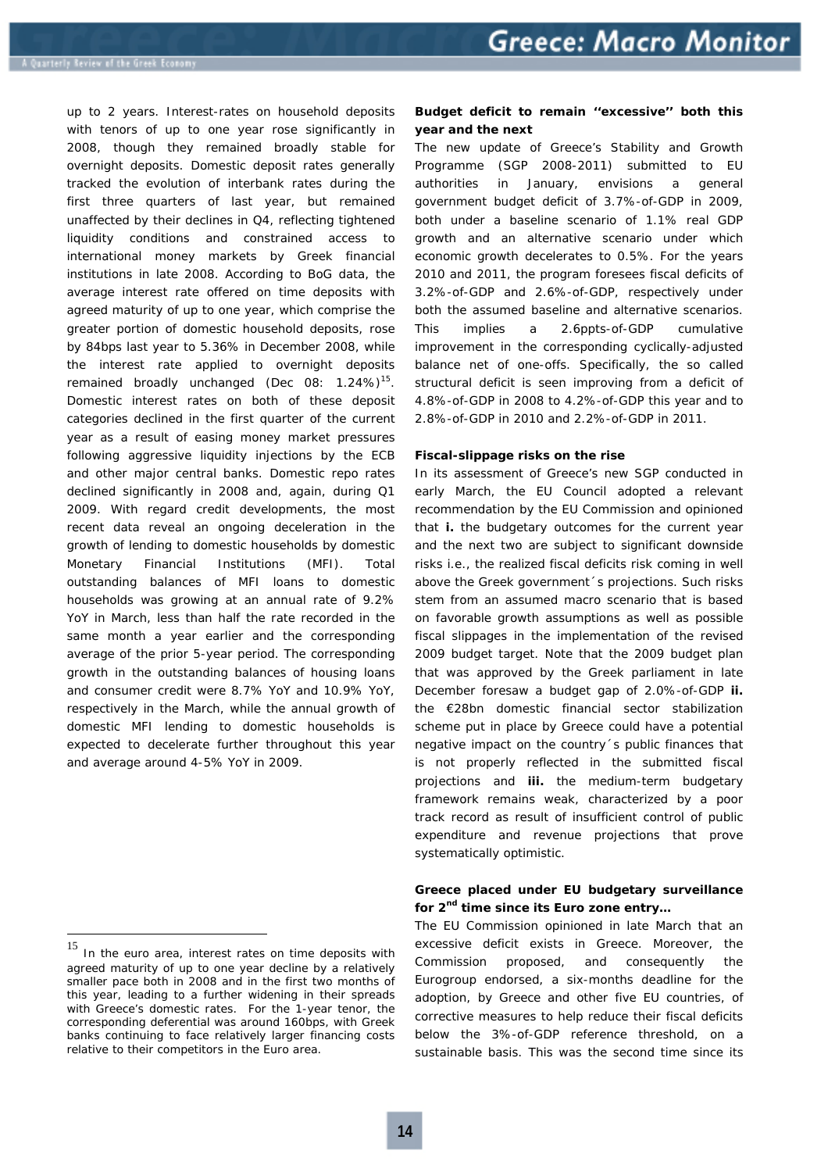up to 2 years. Interest-rates on household deposits with tenors of up to one year rose significantly in 2008, though they remained broadly stable for overnight deposits. Domestic deposit rates generally tracked the evolution of interbank rates during the first three quarters of last year, but remained unaffected by their declines in Q4, reflecting tightened liquidity conditions and constrained access to international money markets by Greek financial institutions in late 2008. According to BoG data, the average interest rate offered on time deposits with agreed maturity of up to one year, *which comprise the greater portion of domestic household deposits,* rose by 84bps last year to 5.36% in December 2008, while the interest rate applied to overnight deposits remained broadly unchanged *(Dec 08: 1.24%)15.* Domestic interest rates on both of these deposit categories declined in the first quarter of the current year as a result of easing money market pressures following aggressive liquidity injections by the ECB and other major central banks. Domestic repo rates declined significantly in 2008 and, again, during Q1 2009. With regard credit developments, the most recent data reveal an ongoing deceleration in the growth of lending to domestic households by domestic Monetary Financial Institutions *(MFI).* Total outstanding balances of MFI loans to domestic households was growing at an annual rate of 9.2% YoY in March, less than half the rate recorded in the same month a year earlier and the corresponding average of the prior 5-year period. The corresponding growth in the outstanding balances of housing loans and consumer credit were 8.7% YoY and 10.9% YoY, respectively in the March, while the annual growth of domestic MFI lending to domestic households is expected to decelerate further throughout this year and average around 4-5% YoY in 2009.

 $\overline{a}$ 

# **Budget deficit to remain ''excessive'' both this year and the next**

The new update of Greece's Stability and Growth Programme *(SGP 2008-2011)* submitted to EU authorities in January, envisions a general government budget deficit of 3.7%-of-GDP in 2009, both under a baseline scenario of 1.1% real GDP growth and an alternative scenario under which economic growth decelerates to 0.5%. For the years 2010 and 2011, the program foresees fiscal deficits of 3.2%-of-GDP and 2.6%-of-GDP, respectively under both the assumed baseline and alternative scenarios. This implies a 2.6ppts-of-GDP cumulative improvement in the corresponding cyclically-adjusted balance net of one-offs. Specifically, the so called *structural deficit* is seen improving from a deficit of 4.8%-of-GDP in 2008 to 4.2%-of-GDP this year and to 2.8%-of-GDP in 2010 and 2.2%-of-GDP in 2011.

#### **Fiscal-slippage risks on the rise**

In its assessment of Greece's new SGP conducted in early March, the EU Council adopted a relevant recommendation by the EU Commission and opinioned that **i.** the budgetary outcomes for the current year and the next two are subject to significant downside risks *i.e., the realized fiscal deficits risk coming in well above the Greek government´s projections*. Such risks stem from an assumed macro scenario that is based on favorable growth assumptions as well as possible fiscal slippages in the implementation of the revised 2009 budget target. Note that the 2009 budget plan that was approved by the Greek parliament in late December foresaw a budget gap of 2.0%-of-GDP **ii.** the €28bn domestic financial sector stabilization scheme put in place by Greece could have a potential negative impact on the country´s public finances that is not properly reflected in the submitted fiscal projections and **iii.** the medium-term budgetary framework remains weak, characterized by a poor track record as result of insufficient control of public expenditure and revenue projections that prove systematically optimistic.

# **Greece placed under EU budgetary surveillance for 2nd time since its Euro zone entry…**

The EU Commission opinioned in late March that an excessive deficit exists in Greece. Moreover, the Commission proposed, and consequently the Eurogroup endorsed, a six-months deadline for the adoption, by Greece and other five EU countries, of corrective measures to help reduce their fiscal deficits below the 3%-of-GDP reference threshold, on a sustainable basis. This was the second time since its

<sup>&</sup>lt;sup>15</sup> In the euro area, interest rates on time deposits with agreed maturity of up to one year decline by a relatively smaller pace both in 2008 and in the first two months of this year, leading to a further widening in their spreads with Greece's domestic rates. For the 1-year tenor, the corresponding deferential was around 160bps, with Greek banks continuing to face relatively larger financing costs relative to their competitors in the Euro area.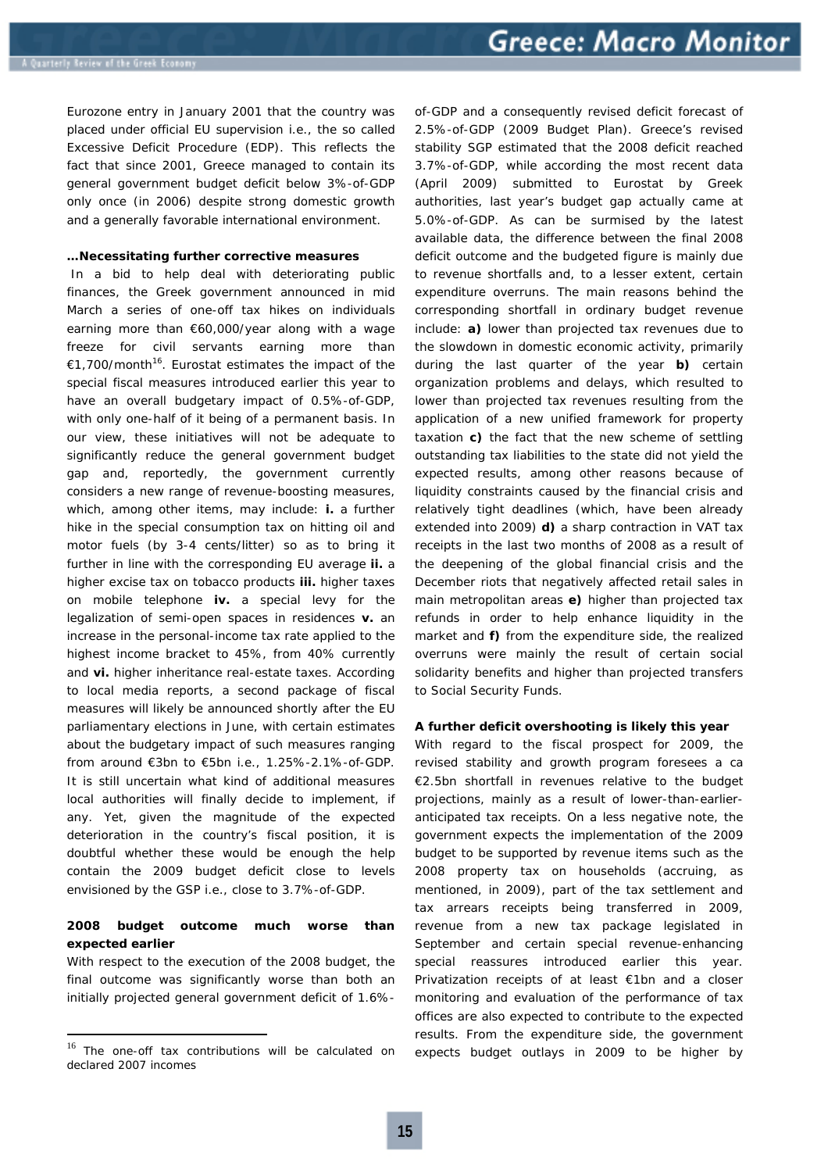Eurozone entry in January 2001 that the country was placed under official EU supervision i.e., the so called Excessive Deficit Procedure (EDP). This reflects the fact that since 2001, Greece managed to contain its general government budget deficit below 3%-of-GDP only once *(in 2006)* despite strong domestic growth and a generally favorable international environment.

#### **…Necessitating further corrective measures**

 In a bid to help deal with deteriorating public finances, the Greek government announced in mid March a series of one-off tax hikes on individuals earning more than €60,000/year along with a wage freeze for civil servants earning more than €1,700/month16. *Eurostat estimates the impact of the special fiscal measures introduced earlier this year to have an overall budgetary impact of 0.5%-of-GDP, with only one-half of it being of a permanent basis.* In our view, these initiatives will not be adequate to significantly reduce the general government budget gap and, reportedly, the government currently considers a new range of revenue-boosting measures, which, among other items, may include: **i.** a further hike in the special consumption tax on hitting oil and motor fuels *(by 3-4 cents/litter)* so as to bring it further in line with the corresponding EU average **ii.** a higher excise tax on tobacco products **iii.** higher taxes on mobile telephone **iv.** a special levy for the legalization of semi-open spaces in residences **v.** an increase in the personal-income tax rate applied to the highest income bracket to 45%, from 40% currently and **vi.** higher inheritance real-estate taxes. According to local media reports, a second package of fiscal measures will likely be announced shortly after the EU parliamentary elections in June, with certain estimates about the budgetary impact of such measures ranging from around €3bn to €5bn *i.e., 1.25%-2.1%-of-GDP.*  It is still uncertain what kind of additional measures local authorities will finally decide to implement, if any. Yet, given the magnitude of the expected deterioration in the country's fiscal position, it is doubtful whether these would be enough the help contain the 2009 budget deficit close to levels envisioned by the GSP *i.e., close to 3.7%-of-GDP.*

# **2008 budget outcome much worse than expected earlier**

With respect to the execution of the 2008 budget, the final outcome was significantly worse than both an initially projected general government deficit of 1.6%-

 $\overline{a}$ 

of-GDP and a consequently revised deficit forecast of 2.5%-of-GDP *(2009 Budget Plan).* Greece's revised stability SGP estimated that the 2008 deficit reached 3.7%-of-GDP, while according the most recent data *(April 2009)* submitted to Eurostat by Greek authorities, last year's budget gap actually came at 5.0%-of-GDP. As can be surmised by the latest available data, the difference between the final 2008 deficit outcome and the budgeted figure is mainly due to revenue shortfalls and, to a lesser extent, certain expenditure overruns. The main reasons behind the corresponding shortfall in ordinary budget revenue include: **a)** lower than projected tax revenues due to the slowdown in domestic economic activity, primarily during the last quarter of the year **b)** certain organization problems and delays, which resulted to lower than projected tax revenues resulting from the application of a new unified framework for property taxation **c)** the fact that the new scheme of settling outstanding tax liabilities to the state did not yield the expected results, among other reasons because of liquidity constraints caused by the financial crisis and relatively tight deadlines *(which, have been already extended into 2009)* **d)** a sharp contraction in VAT tax receipts in the last two months of 2008 as a result of the deepening of the global financial crisis and the December riots that negatively affected retail sales in main metropolitan areas **e)** higher than projected tax refunds in order to help enhance liquidity in the market and **f)** from the expenditure side, the realized overruns were mainly the result of certain social solidarity benefits and higher than projected transfers to Social Security Funds.

## **A further deficit overshooting is likely this year**

With regard to the fiscal prospect for 2009, the revised stability and growth program foresees a ca €2.5bn shortfall in revenues relative to the budget projections, mainly as a result of lower-than-earlieranticipated tax receipts. On a less negative note, the government expects the implementation of the 2009 budget to be supported by revenue items such as the 2008 property tax on households *(accruing, as mentioned, in 2009),* part of the tax settlement and tax arrears receipts being transferred in 2009, revenue from a new tax package legislated in September and certain special revenue-enhancing special reassures introduced earlier this year. Privatization receipts of at least €1bn and a closer monitoring and evaluation of the performance of tax offices are also expected to contribute to the expected results. From the expenditure side, the government expects budget outlays in 2009 to be higher by

<sup>&</sup>lt;sup>16</sup> The one-off tax contributions will be calculated on declared 2007 incomes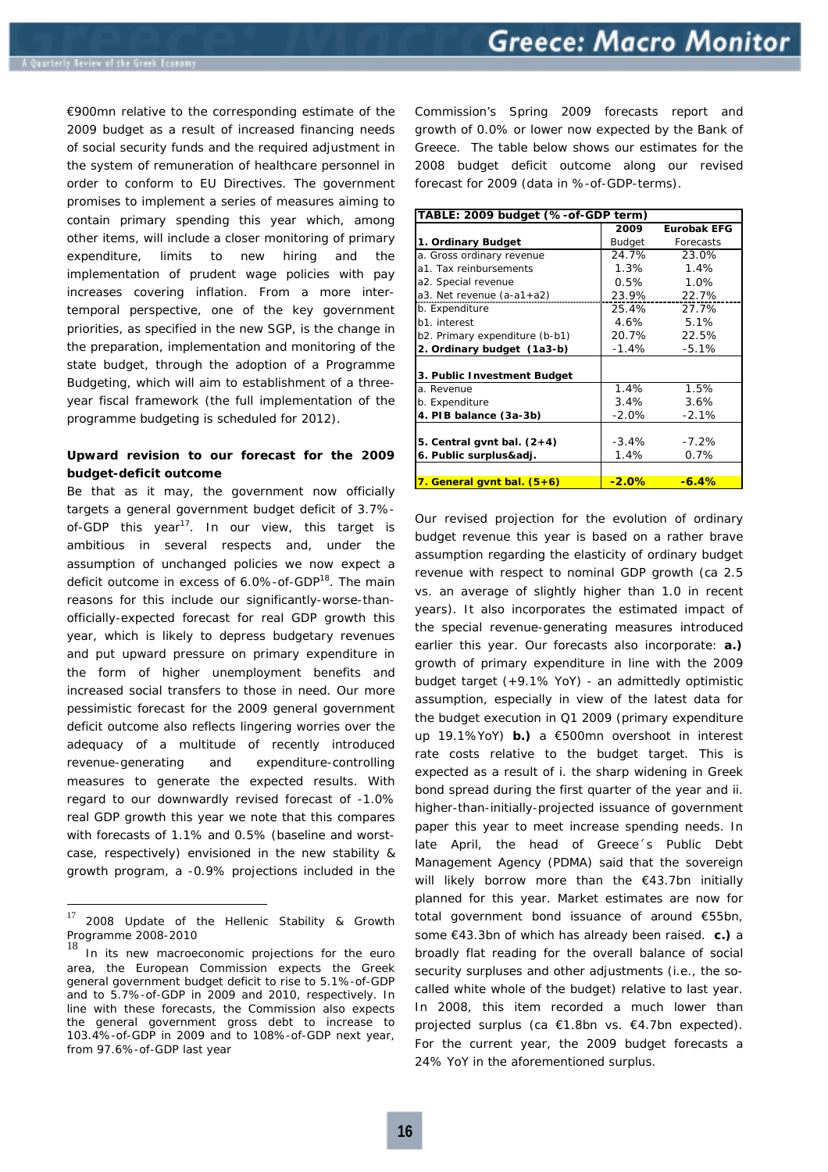€900mn relative to the corresponding estimate of the 2009 budget as a result of increased financing needs of social security funds and the required adjustment in the system of remuneration of healthcare personnel in order to conform to EU Directives. The government promises to implement a series of measures aiming to contain primary spending this year which, among other items, will include a closer monitoring of primary expenditure, limits to new hiring and the implementation of prudent wage policies with pay increases covering inflation. From a more intertemporal perspective, one of the key government priorities, as specified in the new SGP, is the change in the preparation, implementation and monitoring of the state budget, through the adoption of a Programme Budgeting, which will aim to establishment of a threeyear fiscal framework *(the full implementation of the programme budgeting is scheduled for 2012).* 

# **Upward revision to our forecast for the 2009 budget-deficit outcome**

Be that as it may, the government now officially targets a general government budget deficit of 3.7% of-GDP this year<sup>17</sup>. In our view, this target is ambitious in several respects and, *under the assumption of unchanged policies* we now expect a deficit outcome in excess of 6.0%-of-GDP<sup>18</sup>. The main reasons for this include our significantly-worse-thanofficially-expected forecast for real GDP growth this year, which is likely to depress budgetary revenues and put upward pressure on primary expenditure in the form of higher unemployment benefits and increased social transfers to those in need. Our more pessimistic forecast for the 2009 general government deficit outcome also reflects lingering worries over the adequacy of a multitude of recently introduced revenue-generating and expenditure-controlling measures to generate the expected results. With regard to our downwardly revised forecast of -1.0% real GDP growth this year we note that this compares with forecasts of 1.1% and 0.5% *(baseline and worstcase, respectively)* envisioned in the new stability & growth program, a -0.9% projections included in the

Commission's Spring 2009 forecasts report and growth of 0.0% or lower now expected by the Bank of Greece. The table below shows our estimates for the 2008 budget deficit outcome along our revised forecast for 2009 (data in %-of-GDP-terms).

| TABLE: 2009 budget (%-of-GDP term) |         |                    |  |  |
|------------------------------------|---------|--------------------|--|--|
|                                    | 2009    | <b>Eurobak EFG</b> |  |  |
| 1. Ordinary Budget                 | Budget  | Forecasts          |  |  |
| a. Gross ordinary revenue          | 24.7%   | 23.0%              |  |  |
| a1. Tax reinbursements             | 1.3%    | 1.4%               |  |  |
| a2. Special revenue                | $0.5\%$ | 1.0%               |  |  |
| $a3.$ Net revenue $(a-a1+a2)$      | 23.9%   | 22.7%              |  |  |
| b. Expenditure                     | 25.4%   | 27.7%              |  |  |
| b1. interest                       | 4.6%    | 5.1%               |  |  |
| b2. Primary expenditure (b-b1)     | 20.7%   | 22.5%              |  |  |
| 2. Ordinary budget (1a3-b)         | $-1.4%$ | $-5.1%$            |  |  |
|                                    |         |                    |  |  |
| 3. Public Investment Budget        |         |                    |  |  |
| a. Revenue                         | 1.4%    | 1.5%               |  |  |
| b. Expenditure                     | 3.4%    | 3.6%               |  |  |
| 4. PIB balance (3a-3b)             | $-2.0%$ | $-2.1%$            |  |  |
|                                    |         |                    |  |  |
| 5. Central gynt bal. $(2+4)$       | $-3.4%$ | $-7.2%$            |  |  |
| 6. Public surplus&adj.             | 1.4%    | 0.7%               |  |  |
|                                    |         |                    |  |  |
| 7. General gynt bal. (5+6)         | $-2.0%$ | $-6.4%$            |  |  |

Our revised projection for the evolution of ordinary budget revenue this year is based on a rather brave assumption regarding the elasticity of ordinary budget revenue with respect to nominal GDP growth *(ca 2.5 vs. an average of slightly higher than 1.0 in recent years).* It also incorporates the estimated impact of the special revenue-generating measures introduced earlier this year. Our forecasts also incorporate: **a.)** growth of primary expenditure in line with the 2009 budget target *(+9.1% YoY)* - *an admittedly optimistic assumption, especially in view of the latest data for the budget execution in Q1 2009 (primary expenditure up 19.1%YoY)* **b.)** a €500mn overshoot in interest rate costs relative to the budget target. This is expected as a result of i. the sharp widening in Greek bond spread during the first quarter of the year and ii. higher-than-initially-projected issuance of government paper this year to meet increase spending needs. *In late April, the head of Greece´s Public Debt Management Agency (PDMA) said that the sovereign will likely borrow more than the €43.7bn initially planned for this year. Market estimates are now for total government bond issuance of around €55bn, some €43.3bn of which has already been raised.* **c.)** a broadly flat reading for the overall balance of social security surpluses and other adjustments *(i.e., the socalled white whole of the budget)* relative to last year. In 2008, this item recorded a much lower than projected surplus *(ca €1.8bn vs. €4.7bn expected)*. For the current year, the 2009 budget forecasts a 24% YoY in the aforementioned surplus.

<sup>17</sup> 2008 Update of the Hellenic Stability & Growth Programme 2008-2010

<sup>18</sup> In its new macroeconomic projections for the euro area, the European Commission expects the Greek general government budget deficit to rise to 5.1%-of-GDP and to 5.7%-of-GDP in 2009 and 2010, respectively. In line with these forecasts, the Commission also expects the general government gross debt to increase to 103.4%-of-GDP in 2009 and to 108%-of-GDP next year, from 97.6%-of-GDP last year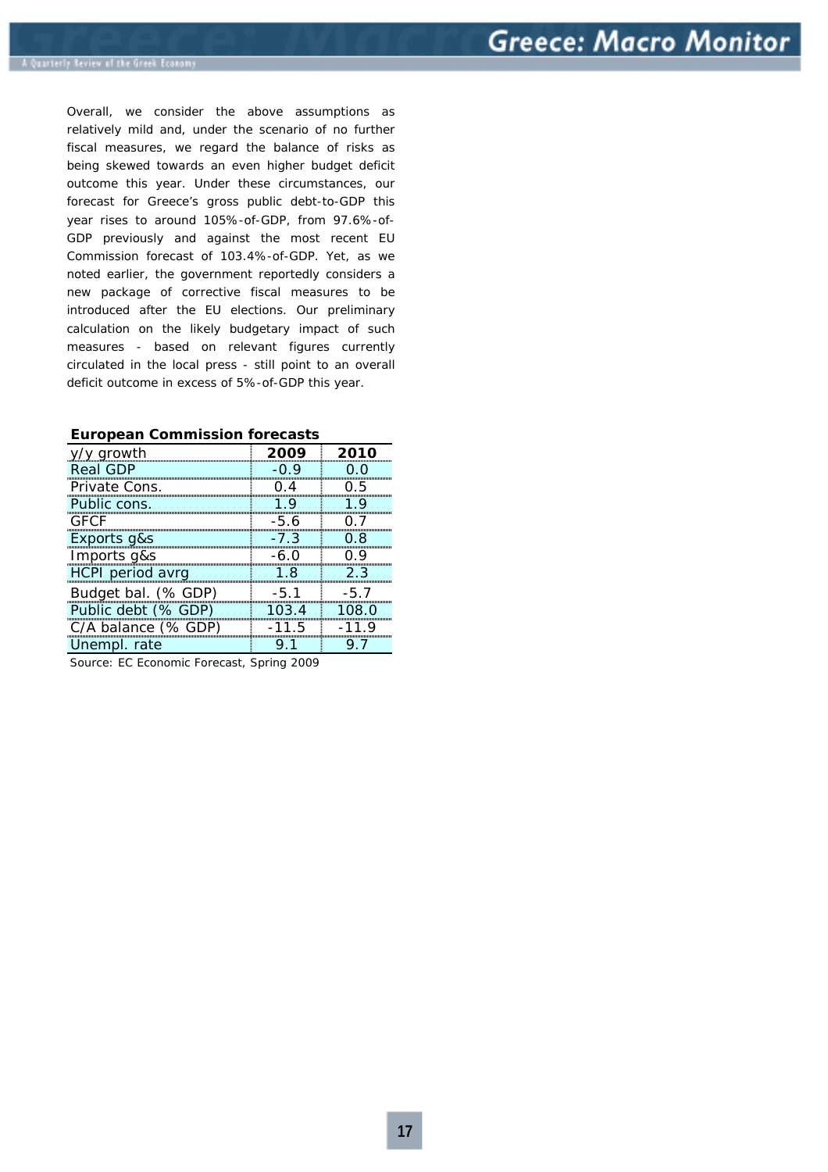Overall, we consider the above assumptions as relatively mild and, under the scenario of no further fiscal measures, we regard the balance of risks as being skewed towards an even higher budget deficit outcome this year. Under these circumstances, our forecast for Greece's gross public debt-to-GDP this year rises to around 105%-of-GDP, from 97.6%-of-GDP previously and against the most recent EU Commission forecast of 103.4%-of-GDP. Yet, as we noted earlier, the government reportedly considers a new package of corrective fiscal measures to be introduced after the EU elections. Our preliminary calculation on the likely budgetary impact of such measures *- based on relevant figures currently circulated in the local press -* still point to an overall deficit outcome in excess of 5%-of-GDP this year.

| √y growth           | 2009    | 2010    |
|---------------------|---------|---------|
| <b>Real GDP</b>     | O 9     |         |
| Private Cons.       | () 4    | 75      |
| Public cons.        | 1 Q     |         |
| GECE                | -5.6    |         |
| Exports g&s         | $-7.3$  | 0 R     |
| Imports g&s         | -6.0    |         |
| HCPI period avrg    | 18      | 2.3     |
| Budget bal. (% GDP) | $-5.1$  | $-5.7$  |
| Public debt (% GDP) | 103.4   | 108.0   |
| C/A balance (% GDP) | $-11.5$ | $-11.9$ |
| Unempl. rate        |         |         |

## **European Commission forecasts**

Source: EC Economic Forecast, Spring 2009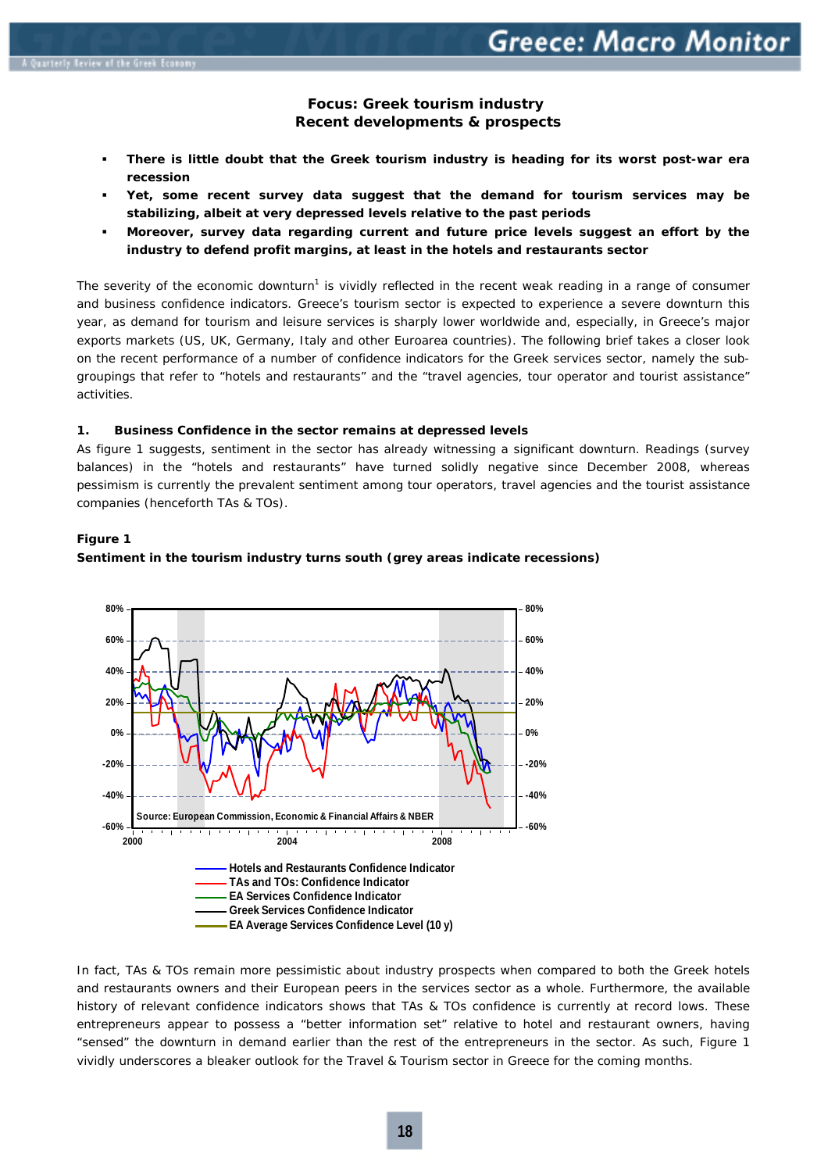# **Focus: Greek tourism industry**   *Recent developments & prospects*

- **There is little doubt that the Greek tourism industry is heading for its worst post-war era recession**
- **Yet, some recent survey data suggest that the demand for tourism services may be stabilizing, albeit at very depressed levels relative to the past periods**
- **Moreover, survey data regarding current and future price levels suggest an effort by the industry to defend profit margins, at least in the hotels and restaurants sector**

The severity of the economic downturn<sup>1</sup> is vividly reflected in the recent weak reading in a range of consumer and business confidence indicators. Greece's tourism sector is expected to experience a severe downturn this year, as demand for tourism and leisure services is sharply lower worldwide and, especially, in Greece's major exports markets *(US, UK, Germany, Italy and other Euroarea countries)*. The following brief takes a closer look on the recent performance of a number of confidence indicators for the Greek services sector, namely the subgroupings that refer to "hotels and restaurants" and the "travel agencies, tour operator and tourist assistance" activities.

#### **1. Business Confidence in the sector remains at depressed levels**

As figure 1 suggests, sentiment in the sector has already witnessing a significant downturn. Readings *(survey balances)* in the "hotels and restaurants" have turned solidly negative since December 2008, whereas pessimism is currently the prevalent sentiment among tour operators, travel agencies and the tourist assistance companies *(henceforth TAs & TOs).* 

# **Figure 1**



# **Sentiment in the tourism industry turns south** *(grey areas indicate recessions)*

In fact, TAs & TOs remain more pessimistic about industry prospects when compared to both the Greek hotels and restaurants owners and their European peers in the services sector as a whole. Furthermore, the available history of relevant confidence indicators shows that TAs & TOs confidence is currently at record lows. These entrepreneurs appear to possess a "better information set" relative to hotel and restaurant owners, having "sensed" the downturn in demand earlier than the rest of the entrepreneurs in the sector. As such, Figure 1 vividly underscores a bleaker outlook for the Travel & Tourism sector in Greece for the coming months.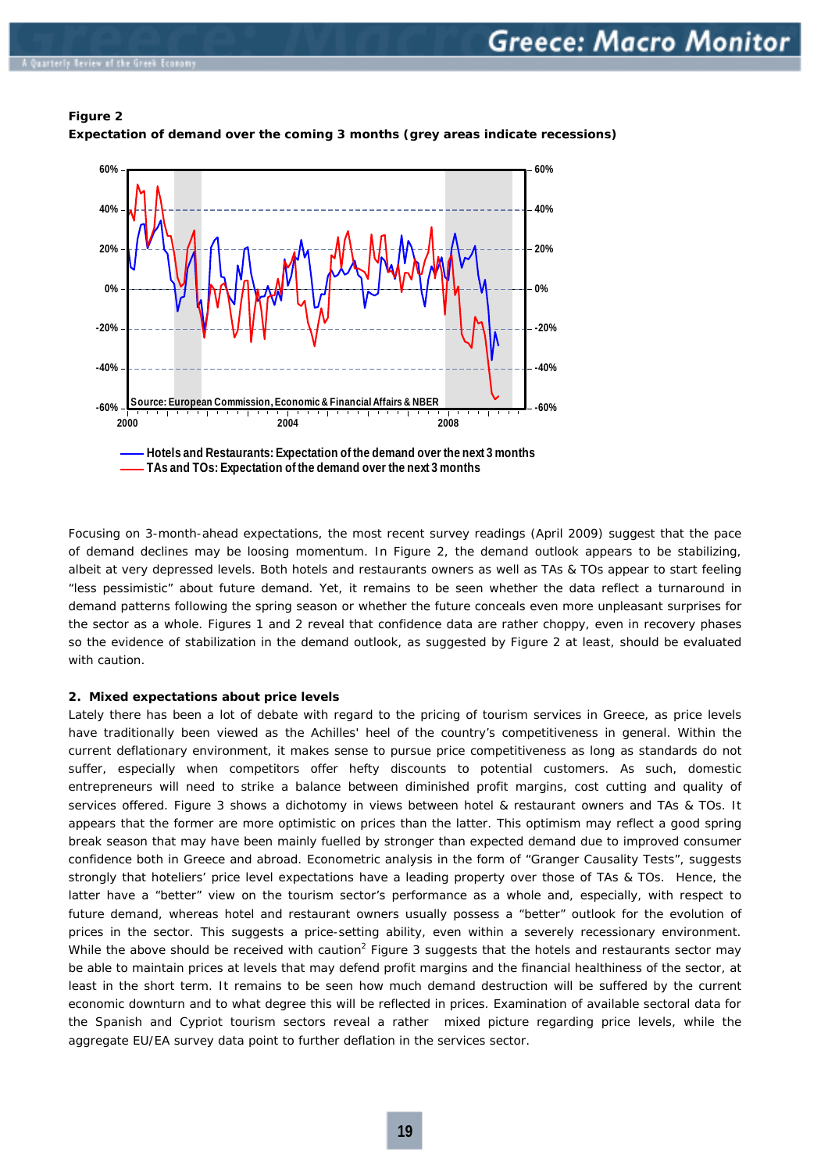# **Figure 2**







Focusing on 3-month-ahead expectations, the most recent survey readings *(April 2009)* suggest that the pace of demand declines may be loosing momentum. In Figure 2, the demand outlook appears to be stabilizing, albeit at very depressed levels. Both hotels and restaurants owners as well as TAs & TOs appear to start feeling "less pessimistic" about future demand. Yet, it remains to be seen whether the data reflect a turnaround in demand patterns following the spring season or whether the future conceals even more unpleasant surprises for the sector as a whole. Figures 1 and 2 reveal that confidence data are rather choppy, even in recovery phases so the evidence of stabilization in the demand outlook, as suggested by Figure 2 at least, should be evaluated with caution.

#### **2. Mixed expectations about price levels**

Lately there has been a lot of debate with regard to the pricing of tourism services in Greece, as price levels have traditionally been viewed as the Achilles' heel of the country's competitiveness in general. Within the current deflationary environment, it makes sense to pursue price competitiveness as long as standards do not suffer, especially when competitors offer hefty discounts to potential customers. As such, domestic entrepreneurs will need to strike a balance between diminished profit margins, cost cutting and quality of services offered. Figure 3 shows a dichotomy in views between hotel & restaurant owners and TAs & TOs. It appears that the former are more optimistic on prices than the latter. This optimism may reflect a good spring break season that may have been mainly fuelled by stronger than expected demand due to improved consumer confidence both in Greece and abroad. Econometric analysis in the form of "Granger Causality Tests", suggests strongly that hoteliers' price level expectations have a leading property over those of TAs & TOs. Hence, the latter have a "better" view on the tourism sector's performance as a whole and, especially, with respect to future demand, whereas hotel and restaurant owners usually possess a "better" outlook for the evolution of prices in the sector. This suggests a price-setting ability, even within a severely recessionary environment. While the above should be received with caution<sup>2</sup> Figure 3 suggests that the hotels and restaurants sector may be able to maintain prices at levels that may defend profit margins and the financial healthiness of the sector, at least in the short term. It remains to be seen how much demand destruction will be suffered by the current economic downturn and to what degree this will be reflected in prices. Examination of available sectoral data for the Spanish and Cypriot tourism sectors reveal a rather mixed picture regarding price levels, while the aggregate EU/EA survey data point to further deflation in the services sector.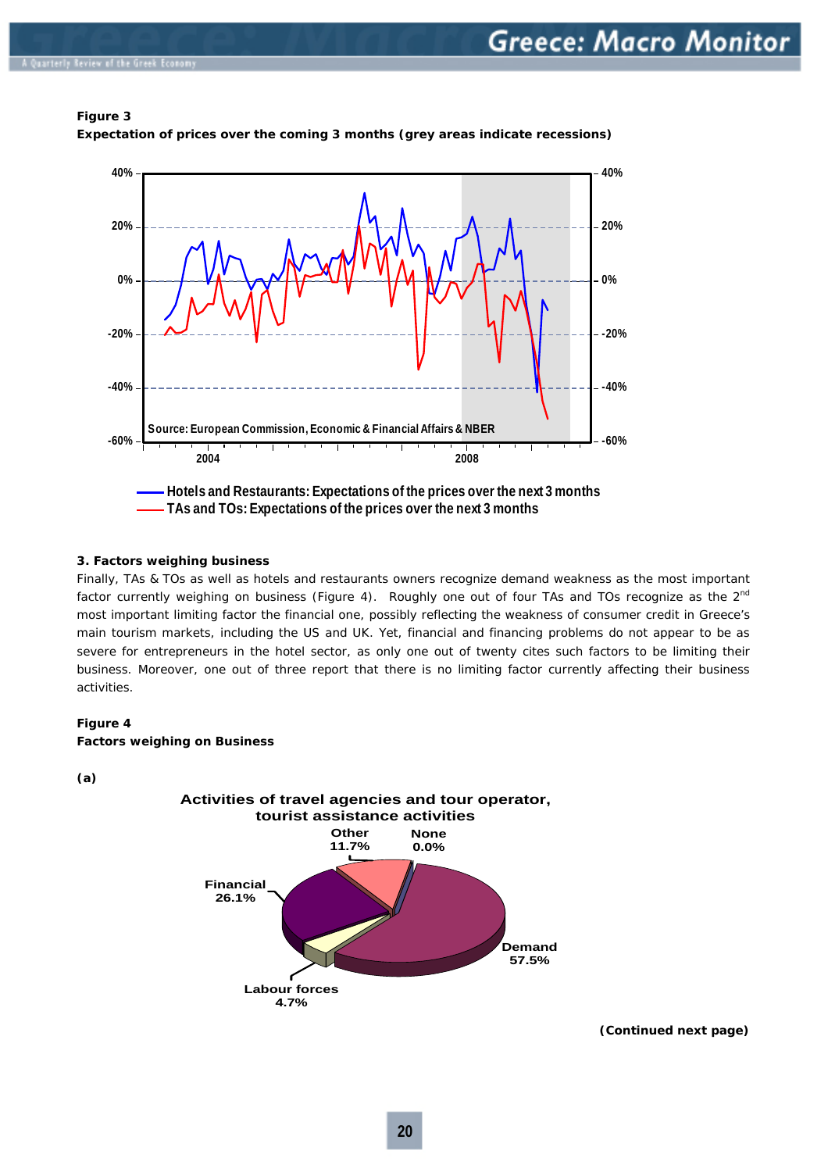# **Figure 3**



**Expectation of prices over the coming 3 months** *(grey areas indicate recessions)*

# **3. Factors weighing business**

Finally, TAs & TOs as well as hotels and restaurants owners recognize demand weakness as the most important factor currently weighing on business *(Figure 4).* Roughly one out of four TAs and TOs recognize as the 2nd most important limiting factor the financial one, possibly reflecting the weakness of consumer credit in Greece's main tourism markets, including the US and UK. Yet, financial and financing problems do not appear to be as severe for entrepreneurs in the hotel sector, as only one out of twenty cites such factors to be limiting their business. Moreover, one out of three report that there is no limiting factor currently affecting their business activities.

#### **Figure 4**

#### **Factors weighing on Business**

**(a)** 



**(Continued next page)**